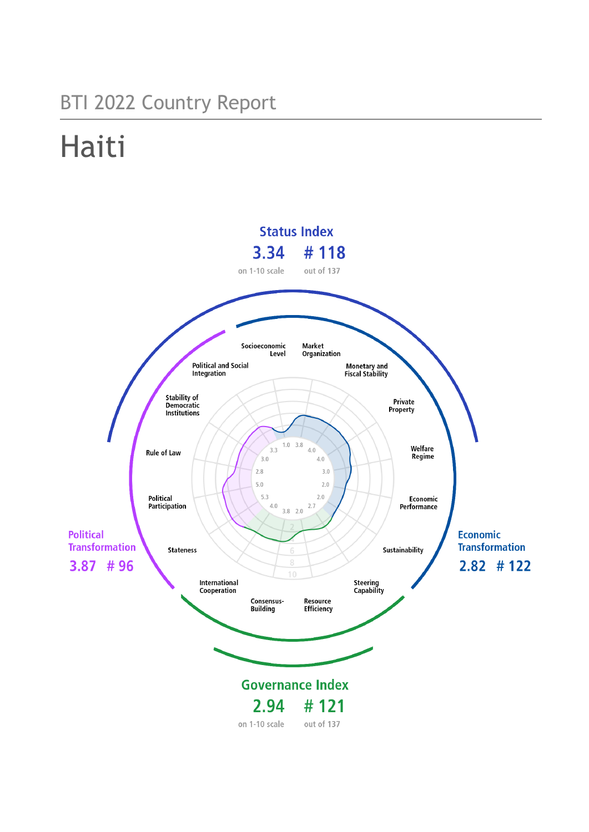## BTI 2022 Country Report

# Haiti

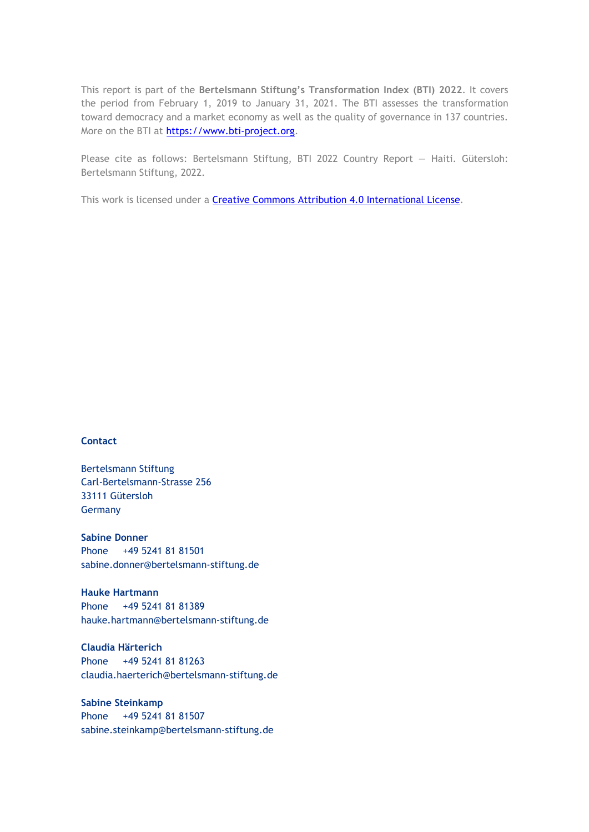This report is part of the **Bertelsmann Stiftung's Transformation Index (BTI) 2022**. It covers the period from February 1, 2019 to January 31, 2021. The BTI assesses the transformation toward democracy and a market economy as well as the quality of governance in 137 countries. More on the BTI at [https://www.bti-project.org.](https://www.bti-project.org/)

Please cite as follows: Bertelsmann Stiftung, BTI 2022 Country Report — Haiti. Gütersloh: Bertelsmann Stiftung, 2022.

This work is licensed under a **Creative Commons Attribution 4.0 International License**.

#### **Contact**

Bertelsmann Stiftung Carl-Bertelsmann-Strasse 256 33111 Gütersloh Germany

**Sabine Donner** Phone +49 5241 81 81501 sabine.donner@bertelsmann-stiftung.de

**Hauke Hartmann** Phone +49 5241 81 81389 hauke.hartmann@bertelsmann-stiftung.de

**Claudia Härterich** Phone +49 5241 81 81263 claudia.haerterich@bertelsmann-stiftung.de

#### **Sabine Steinkamp** Phone +49 5241 81 81507 sabine.steinkamp@bertelsmann-stiftung.de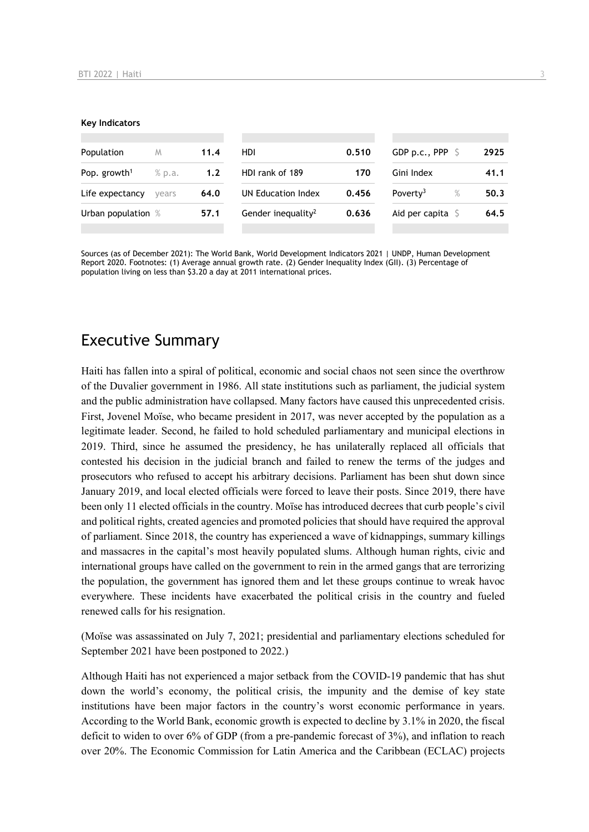#### **Key Indicators**

| Population               | M      | 11.4 | HDI.                           | 0.510 | GDP p.c., PPP $\ S$  | 2925         |
|--------------------------|--------|------|--------------------------------|-------|----------------------|--------------|
| Pop. growth <sup>1</sup> | % p.a. | 1.2  | HDI rank of 189                | 170   | Gini Index           | 41.1         |
| Life expectancy          | vears  | 64.0 | UN Education Index             | 0.456 | Poverty <sup>3</sup> | $\%$<br>50.3 |
| Urban population %       |        | 57.1 | Gender inequality <sup>2</sup> | 0.636 | Aid per capita $S$   | 64.5         |
|                          |        |      |                                |       |                      |              |

Sources (as of December 2021): The World Bank, World Development Indicators 2021 | UNDP, Human Development Report 2020. Footnotes: (1) Average annual growth rate. (2) Gender Inequality Index (GII). (3) Percentage of population living on less than \$3.20 a day at 2011 international prices.

## Executive Summary

Haiti has fallen into a spiral of political, economic and social chaos not seen since the overthrow of the Duvalier government in 1986. All state institutions such as parliament, the judicial system and the public administration have collapsed. Many factors have caused this unprecedented crisis. First, Jovenel Moïse, who became president in 2017, was never accepted by the population as a legitimate leader. Second, he failed to hold scheduled parliamentary and municipal elections in 2019. Third, since he assumed the presidency, he has unilaterally replaced all officials that contested his decision in the judicial branch and failed to renew the terms of the judges and prosecutors who refused to accept his arbitrary decisions. Parliament has been shut down since January 2019, and local elected officials were forced to leave their posts. Since 2019, there have been only 11 elected officials in the country. Moïse has introduced decrees that curb people's civil and political rights, created agencies and promoted policies that should have required the approval of parliament. Since 2018, the country has experienced a wave of kidnappings, summary killings and massacres in the capital's most heavily populated slums. Although human rights, civic and international groups have called on the government to rein in the armed gangs that are terrorizing the population, the government has ignored them and let these groups continue to wreak havoc everywhere. These incidents have exacerbated the political crisis in the country and fueled renewed calls for his resignation.

(Moïse was assassinated on July 7, 2021; presidential and parliamentary elections scheduled for September 2021 have been postponed to 2022.)

Although Haiti has not experienced a major setback from the COVID-19 pandemic that has shut down the world's economy, the political crisis, the impunity and the demise of key state institutions have been major factors in the country's worst economic performance in years. According to the World Bank, economic growth is expected to decline by 3.1% in 2020, the fiscal deficit to widen to over 6% of GDP (from a pre-pandemic forecast of 3%), and inflation to reach over 20%. The Economic Commission for Latin America and the Caribbean (ECLAC) projects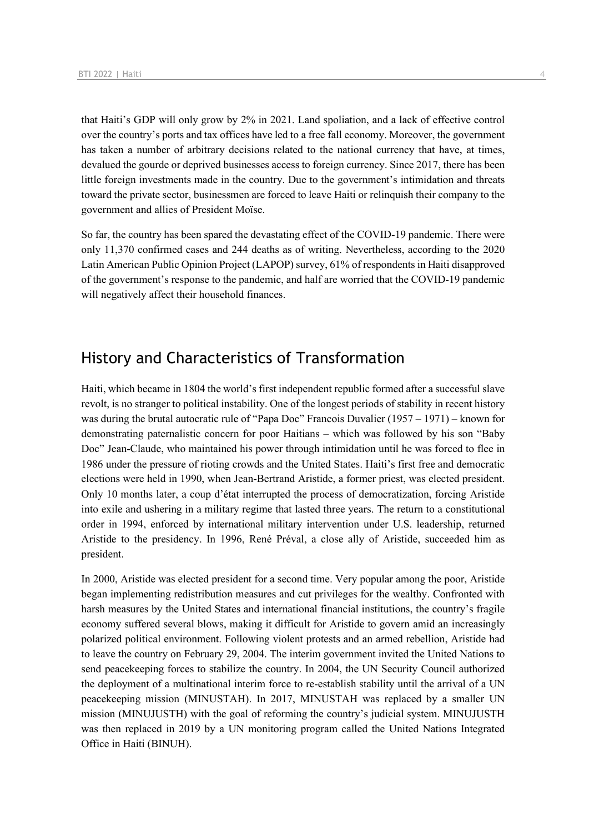that Haiti's GDP will only grow by 2% in 2021. Land spoliation, and a lack of effective control over the country's ports and tax offices have led to a free fall economy. Moreover, the government has taken a number of arbitrary decisions related to the national currency that have, at times, devalued the gourde or deprived businesses access to foreign currency. Since 2017, there has been little foreign investments made in the country. Due to the government's intimidation and threats toward the private sector, businessmen are forced to leave Haiti or relinquish their company to the government and allies of President Moïse.

So far, the country has been spared the devastating effect of the COVID-19 pandemic. There were only 11,370 confirmed cases and 244 deaths as of writing. Nevertheless, according to the 2020 Latin American Public Opinion Project (LAPOP) survey, 61% of respondents in Haiti disapproved of the government's response to the pandemic, and half are worried that the COVID-19 pandemic will negatively affect their household finances.

## History and Characteristics of Transformation

Haiti, which became in 1804 the world's first independent republic formed after a successful slave revolt, is no stranger to political instability. One of the longest periods of stability in recent history was during the brutal autocratic rule of "Papa Doc" Francois Duvalier  $(1957 - 1971)$  – known for demonstrating paternalistic concern for poor Haitians – which was followed by his son "Baby Doc" Jean-Claude, who maintained his power through intimidation until he was forced to flee in 1986 under the pressure of rioting crowds and the United States. Haiti's first free and democratic elections were held in 1990, when Jean-Bertrand Aristide, a former priest, was elected president. Only 10 months later, a coup d'état interrupted the process of democratization, forcing Aristide into exile and ushering in a military regime that lasted three years. The return to a constitutional order in 1994, enforced by international military intervention under U.S. leadership, returned Aristide to the presidency. In 1996, René Préval, a close ally of Aristide, succeeded him as president.

In 2000, Aristide was elected president for a second time. Very popular among the poor, Aristide began implementing redistribution measures and cut privileges for the wealthy. Confronted with harsh measures by the United States and international financial institutions, the country's fragile economy suffered several blows, making it difficult for Aristide to govern amid an increasingly polarized political environment. Following violent protests and an armed rebellion, Aristide had to leave the country on February 29, 2004. The interim government invited the United Nations to send peacekeeping forces to stabilize the country. In 2004, the UN Security Council authorized the deployment of a multinational interim force to re-establish stability until the arrival of a UN peacekeeping mission (MINUSTAH). In 2017, MINUSTAH was replaced by a smaller UN mission (MINUJUSTH) with the goal of reforming the country's judicial system. MINUJUSTH was then replaced in 2019 by a UN monitoring program called the United Nations Integrated Office in Haiti (BINUH).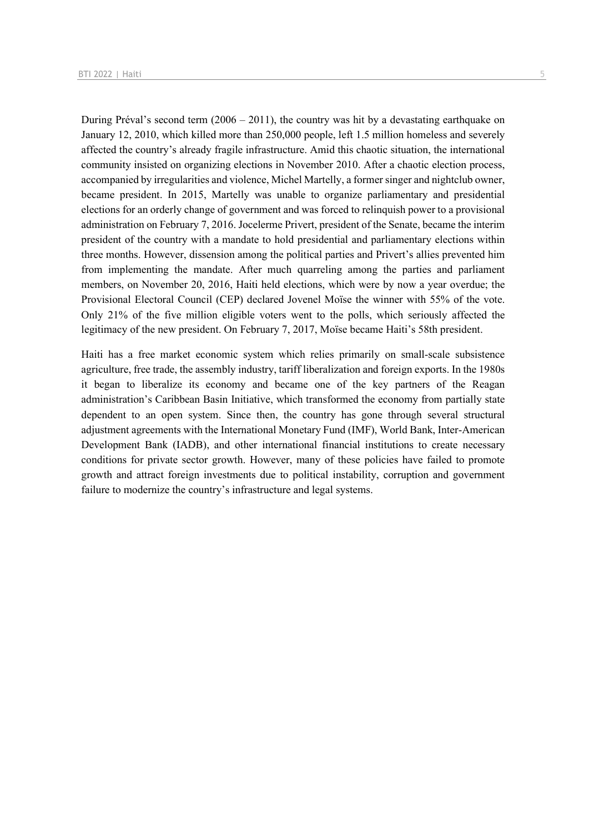During Préval's second term (2006 – 2011), the country was hit by a devastating earthquake on January 12, 2010, which killed more than 250,000 people, left 1.5 million homeless and severely affected the country's already fragile infrastructure. Amid this chaotic situation, the international community insisted on organizing elections in November 2010. After a chaotic election process, accompanied by irregularities and violence, Michel Martelly, a former singer and nightclub owner, became president. In 2015, Martelly was unable to organize parliamentary and presidential elections for an orderly change of government and was forced to relinquish power to a provisional administration on February 7, 2016. Jocelerme Privert, president of the Senate, became the interim president of the country with a mandate to hold presidential and parliamentary elections within three months. However, dissension among the political parties and Privert's allies prevented him from implementing the mandate. After much quarreling among the parties and parliament members, on November 20, 2016, Haiti held elections, which were by now a year overdue; the Provisional Electoral Council (CEP) declared Jovenel Moïse the winner with 55% of the vote. Only 21% of the five million eligible voters went to the polls, which seriously affected the legitimacy of the new president. On February 7, 2017, Moïse became Haiti's 58th president.

Haiti has a free market economic system which relies primarily on small-scale subsistence agriculture, free trade, the assembly industry, tariff liberalization and foreign exports. In the 1980s it began to liberalize its economy and became one of the key partners of the Reagan administration's Caribbean Basin Initiative, which transformed the economy from partially state dependent to an open system. Since then, the country has gone through several structural adjustment agreements with the International Monetary Fund (IMF), World Bank, Inter-American Development Bank (IADB), and other international financial institutions to create necessary conditions for private sector growth. However, many of these policies have failed to promote growth and attract foreign investments due to political instability, corruption and government failure to modernize the country's infrastructure and legal systems.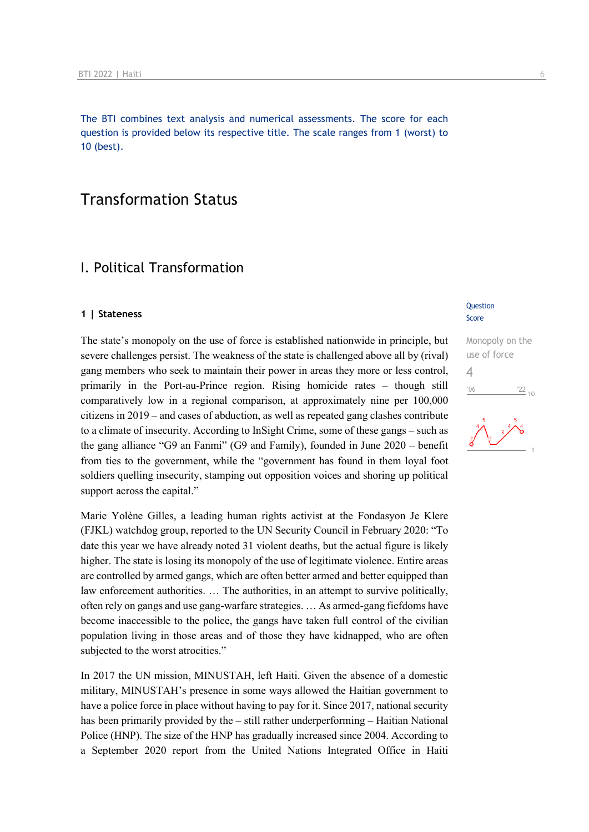The BTI combines text analysis and numerical assessments. The score for each question is provided below its respective title. The scale ranges from 1 (worst) to 10 (best).

## Transformation Status

## I. Political Transformation

#### **1 | Stateness**

The state's monopoly on the use of force is established nationwide in principle, but severe challenges persist. The weakness of the state is challenged above all by (rival) gang members who seek to maintain their power in areas they more or less control, primarily in the Port-au-Prince region. Rising homicide rates – though still comparatively low in a regional comparison, at approximately nine per 100,000 citizens in 2019 – and cases of abduction, as well as repeated gang clashes contribute to a climate of insecurity. According to InSight Crime, some of these gangs – such as the gang alliance "G9 an Fanmi" (G9 and Family), founded in June 2020 – benefit from ties to the government, while the "government has found in them loyal foot soldiers quelling insecurity, stamping out opposition voices and shoring up political support across the capital."

Marie Yolène Gilles, a leading human rights activist at the Fondasyon Je Klere (FJKL) watchdog group, reported to the UN Security Council in February 2020: "To date this year we have already noted 31 violent deaths, but the actual figure is likely higher. The state is losing its monopoly of the use of legitimate violence. Entire areas are controlled by armed gangs, which are often better armed and better equipped than law enforcement authorities. … The authorities, in an attempt to survive politically, often rely on gangs and use gang-warfare strategies. … As armed-gang fiefdoms have become inaccessible to the police, the gangs have taken full control of the civilian population living in those areas and of those they have kidnapped, who are often subjected to the worst atrocities."

In 2017 the UN mission, MINUSTAH, left Haiti. Given the absence of a domestic military, MINUSTAH's presence in some ways allowed the Haitian government to have a police force in place without having to pay for it. Since 2017, national security has been primarily provided by the – still rather underperforming – Haitian National Police (HNP). The size of the HNP has gradually increased since 2004. According to a September 2020 report from the United Nations Integrated Office in Haiti

#### **Question** Score

Monopoly on the use of force 4 $\frac{22}{10}$  $106$ 

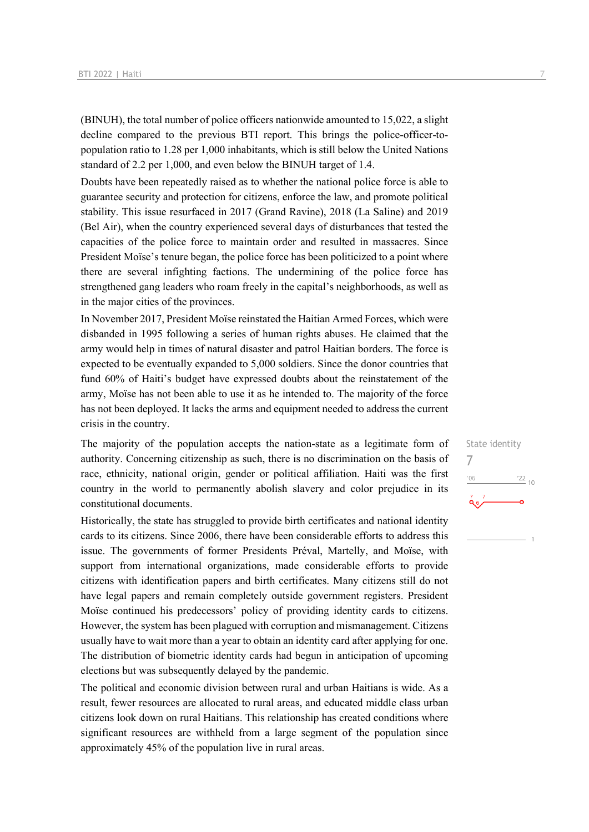(BINUH), the total number of police officers nationwide amounted to 15,022, a slight decline compared to the previous BTI report. This brings the police-officer-topopulation ratio to 1.28 per 1,000 inhabitants, which is still below the United Nations standard of 2.2 per 1,000, and even below the BINUH target of 1.4.

Doubts have been repeatedly raised as to whether the national police force is able to guarantee security and protection for citizens, enforce the law, and promote political stability. This issue resurfaced in 2017 (Grand Ravine), 2018 (La Saline) and 2019 (Bel Air), when the country experienced several days of disturbances that tested the capacities of the police force to maintain order and resulted in massacres. Since President Moïse's tenure began, the police force has been politicized to a point where there are several infighting factions. The undermining of the police force has strengthened gang leaders who roam freely in the capital's neighborhoods, as well as in the major cities of the provinces.

In November 2017, President Moïse reinstated the Haitian Armed Forces, which were disbanded in 1995 following a series of human rights abuses. He claimed that the army would help in times of natural disaster and patrol Haitian borders. The force is expected to be eventually expanded to 5,000 soldiers. Since the donor countries that fund 60% of Haiti's budget have expressed doubts about the reinstatement of the army, Moïse has not been able to use it as he intended to. The majority of the force has not been deployed. It lacks the arms and equipment needed to address the current crisis in the country.

The majority of the population accepts the nation-state as a legitimate form of authority. Concerning citizenship as such, there is no discrimination on the basis of race, ethnicity, national origin, gender or political affiliation. Haiti was the first country in the world to permanently abolish slavery and color prejudice in its constitutional documents.

Historically, the state has struggled to provide birth certificates and national identity cards to its citizens. Since 2006, there have been considerable efforts to address this issue. The governments of former Presidents Préval, Martelly, and Moïse, with support from international organizations, made considerable efforts to provide citizens with identification papers and birth certificates. Many citizens still do not have legal papers and remain completely outside government registers. President Moïse continued his predecessors' policy of providing identity cards to citizens. However, the system has been plagued with corruption and mismanagement. Citizens usually have to wait more than a year to obtain an identity card after applying for one. The distribution of biometric identity cards had begun in anticipation of upcoming elections but was subsequently delayed by the pandemic.

The political and economic division between rural and urban Haitians is wide. As a result, fewer resources are allocated to rural areas, and educated middle class urban citizens look down on rural Haitians. This relationship has created conditions where significant resources are withheld from a large segment of the population since approximately 45% of the population live in rural areas.

State identity 7'06  $\frac{22}{10}$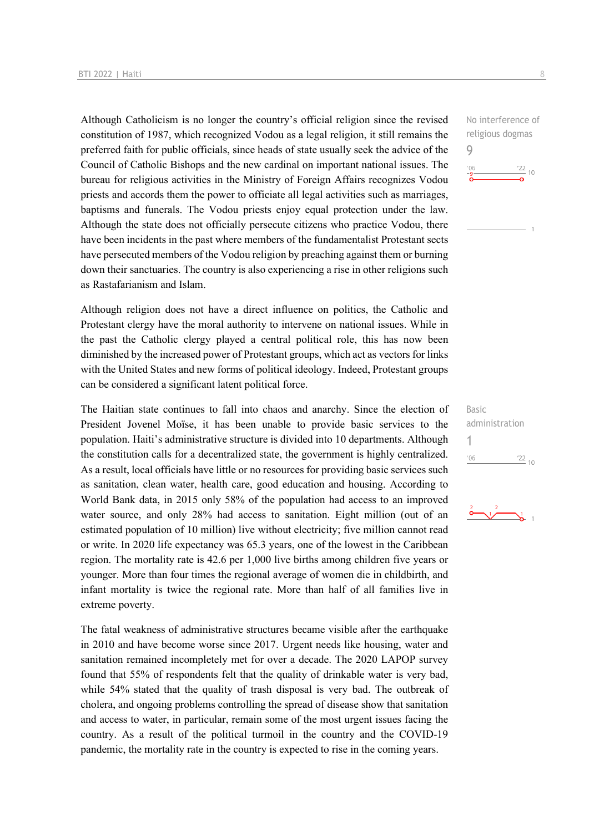Although Catholicism is no longer the country's official religion since the revised constitution of 1987, which recognized Vodou as a legal religion, it still remains the preferred faith for public officials, since heads of state usually seek the advice of the Council of Catholic Bishops and the new cardinal on important national issues. The bureau for religious activities in the Ministry of Foreign Affairs recognizes Vodou priests and accords them the power to officiate all legal activities such as marriages, baptisms and funerals. The Vodou priests enjoy equal protection under the law. Although the state does not officially persecute citizens who practice Vodou, there have been incidents in the past where members of the fundamentalist Protestant sects have persecuted members of the Vodou religion by preaching against them or burning down their sanctuaries. The country is also experiencing a rise in other religions such as Rastafarianism and Islam.

Although religion does not have a direct influence on politics, the Catholic and Protestant clergy have the moral authority to intervene on national issues. While in the past the Catholic clergy played a central political role, this has now been diminished by the increased power of Protestant groups, which act as vectors for links with the United States and new forms of political ideology. Indeed, Protestant groups can be considered a significant latent political force.

The Haitian state continues to fall into chaos and anarchy. Since the election of President Jovenel Moïse, it has been unable to provide basic services to the population. Haiti's administrative structure is divided into 10 departments. Although the constitution calls for a decentralized state, the government is highly centralized. As a result, local officials have little or no resources for providing basic services such as sanitation, clean water, health care, good education and housing. According to World Bank data, in 2015 only 58% of the population had access to an improved water source, and only 28% had access to sanitation. Eight million (out of an estimated population of 10 million) live without electricity; five million cannot read or write. In 2020 life expectancy was 65.3 years, one of the lowest in the Caribbean region. The mortality rate is 42.6 per 1,000 live births among children five years or younger. More than four times the regional average of women die in childbirth, and infant mortality is twice the regional rate. More than half of all families live in extreme poverty.

The fatal weakness of administrative structures became visible after the earthquake in 2010 and have become worse since 2017. Urgent needs like housing, water and sanitation remained incompletely met for over a decade. The 2020 LAPOP survey found that 55% of respondents felt that the quality of drinkable water is very bad, while 54% stated that the quality of trash disposal is very bad. The outbreak of cholera, and ongoing problems controlling the spread of disease show that sanitation and access to water, in particular, remain some of the most urgent issues facing the country. As a result of the political turmoil in the country and the COVID-19 pandemic, the mortality rate in the country is expected to rise in the coming years.

No interference of religious dogmas 9  $-06$  $\frac{22}{10}$ 



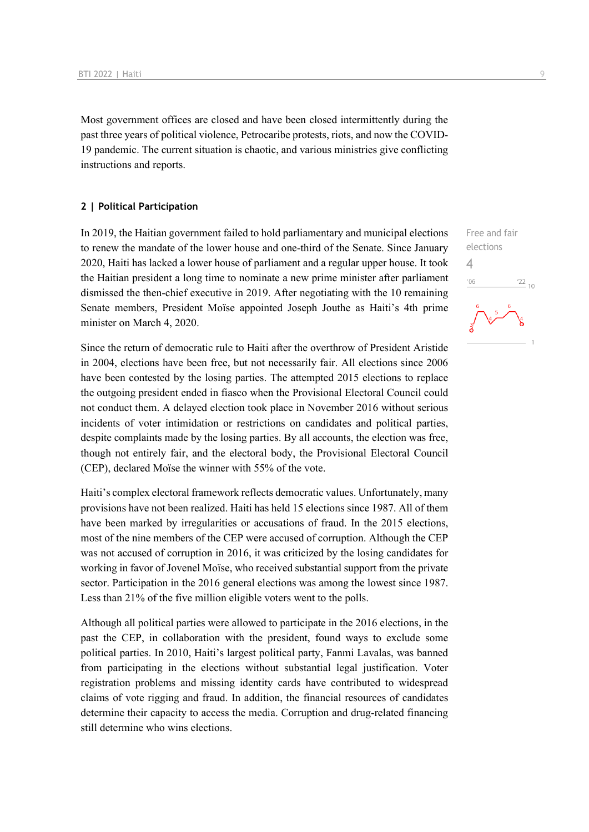Most government offices are closed and have been closed intermittently during the past three years of political violence, Petrocaribe protests, riots, and now the COVID-19 pandemic. The current situation is chaotic, and various ministries give conflicting instructions and reports.

#### **2 | Political Participation**

In 2019, the Haitian government failed to hold parliamentary and municipal elections to renew the mandate of the lower house and one-third of the Senate. Since January 2020, Haiti has lacked a lower house of parliament and a regular upper house. It took the Haitian president a long time to nominate a new prime minister after parliament dismissed the then-chief executive in 2019. After negotiating with the 10 remaining Senate members, President Moïse appointed Joseph Jouthe as Haiti's 4th prime minister on March 4, 2020.

Since the return of democratic rule to Haiti after the overthrow of President Aristide in 2004, elections have been free, but not necessarily fair. All elections since 2006 have been contested by the losing parties. The attempted 2015 elections to replace the outgoing president ended in fiasco when the Provisional Electoral Council could not conduct them. A delayed election took place in November 2016 without serious incidents of voter intimidation or restrictions on candidates and political parties, despite complaints made by the losing parties. By all accounts, the election was free, though not entirely fair, and the electoral body, the Provisional Electoral Council (CEP), declared Moïse the winner with 55% of the vote.

Haiti's complex electoral framework reflects democratic values. Unfortunately, many provisions have not been realized. Haiti has held 15 elections since 1987. All of them have been marked by irregularities or accusations of fraud. In the 2015 elections, most of the nine members of the CEP were accused of corruption. Although the CEP was not accused of corruption in 2016, it was criticized by the losing candidates for working in favor of Jovenel Moïse, who received substantial support from the private sector. Participation in the 2016 general elections was among the lowest since 1987. Less than 21% of the five million eligible voters went to the polls.

Although all political parties were allowed to participate in the 2016 elections, in the past the CEP, in collaboration with the president, found ways to exclude some political parties. In 2010, Haiti's largest political party, Fanmi Lavalas, was banned from participating in the elections without substantial legal justification. Voter registration problems and missing identity cards have contributed to widespread claims of vote rigging and fraud. In addition, the financial resources of candidates determine their capacity to access the media. Corruption and drug-related financing still determine who wins elections.

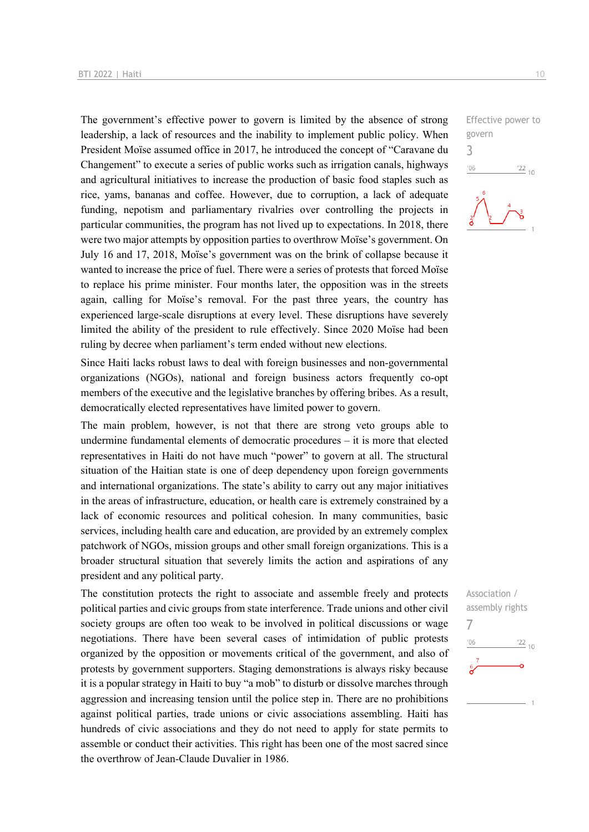The government's effective power to govern is limited by the absence of strong leadership, a lack of resources and the inability to implement public policy. When President Moïse assumed office in 2017, he introduced the concept of "Caravane du Changement" to execute a series of public works such as irrigation canals, highways and agricultural initiatives to increase the production of basic food staples such as rice, yams, bananas and coffee. However, due to corruption, a lack of adequate funding, nepotism and parliamentary rivalries over controlling the projects in particular communities, the program has not lived up to expectations. In 2018, there were two major attempts by opposition parties to overthrow Moïse's government. On July 16 and 17, 2018, Moïse's government was on the brink of collapse because it wanted to increase the price of fuel. There were a series of protests that forced Moïse to replace his prime minister. Four months later, the opposition was in the streets again, calling for Moïse's removal. For the past three years, the country has experienced large-scale disruptions at every level. These disruptions have severely limited the ability of the president to rule effectively. Since 2020 Moïse had been ruling by decree when parliament's term ended without new elections.

Since Haiti lacks robust laws to deal with foreign businesses and non-governmental organizations (NGOs), national and foreign business actors frequently co-opt members of the executive and the legislative branches by offering bribes. As a result, democratically elected representatives have limited power to govern.

The main problem, however, is not that there are strong veto groups able to undermine fundamental elements of democratic procedures – it is more that elected representatives in Haiti do not have much "power" to govern at all. The structural situation of the Haitian state is one of deep dependency upon foreign governments and international organizations. The state's ability to carry out any major initiatives in the areas of infrastructure, education, or health care is extremely constrained by a lack of economic resources and political cohesion. In many communities, basic services, including health care and education, are provided by an extremely complex patchwork of NGOs, mission groups and other small foreign organizations. This is a broader structural situation that severely limits the action and aspirations of any president and any political party.

The constitution protects the right to associate and assemble freely and protects political parties and civic groups from state interference. Trade unions and other civil society groups are often too weak to be involved in political discussions or wage negotiations. There have been several cases of intimidation of public protests organized by the opposition or movements critical of the government, and also of protests by government supporters. Staging demonstrations is always risky because it is a popular strategy in Haiti to buy "a mob" to disturb or dissolve marches through aggression and increasing tension until the police step in. There are no prohibitions against political parties, trade unions or civic associations assembling. Haiti has hundreds of civic associations and they do not need to apply for state permits to assemble or conduct their activities. This right has been one of the most sacred since the overthrow of Jean-Claude Duvalier in 1986.

Effective power to govern 3  $-06$  $\frac{22}{10}$ 

Association / assembly rights 7 $\frac{22}{10}$  $-06$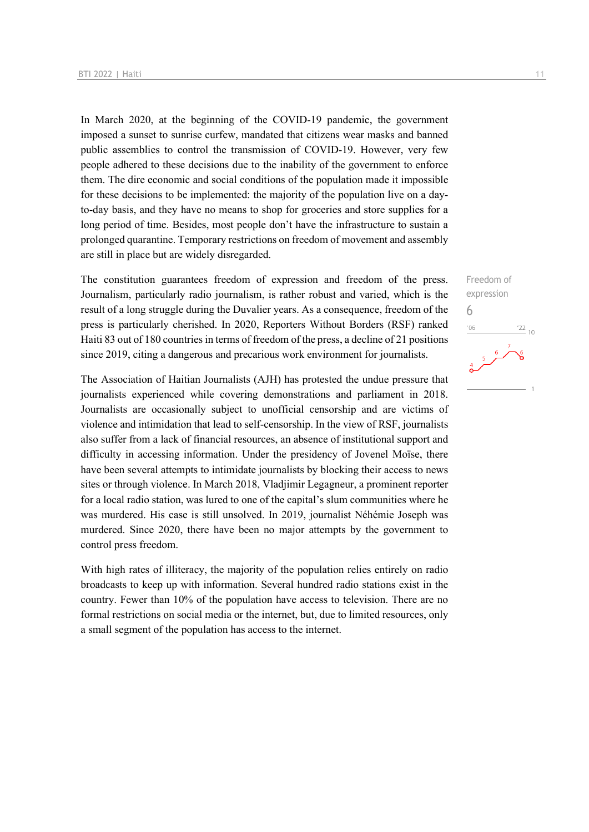In March 2020, at the beginning of the COVID-19 pandemic, the government imposed a sunset to sunrise curfew, mandated that citizens wear masks and banned public assemblies to control the transmission of COVID-19. However, very few people adhered to these decisions due to the inability of the government to enforce them. The dire economic and social conditions of the population made it impossible for these decisions to be implemented: the majority of the population live on a dayto-day basis, and they have no means to shop for groceries and store supplies for a long period of time. Besides, most people don't have the infrastructure to sustain a prolonged quarantine. Temporary restrictions on freedom of movement and assembly are still in place but are widely disregarded.

The constitution guarantees freedom of expression and freedom of the press. Journalism, particularly radio journalism, is rather robust and varied, which is the result of a long struggle during the Duvalier years. As a consequence, freedom of the press is particularly cherished. In 2020, Reporters Without Borders (RSF) ranked Haiti 83 out of 180 countries in terms of freedom of the press, a decline of 21 positions since 2019, citing a dangerous and precarious work environment for journalists.

The Association of Haitian Journalists (AJH) has protested the undue pressure that journalists experienced while covering demonstrations and parliament in 2018. Journalists are occasionally subject to unofficial censorship and are victims of violence and intimidation that lead to self-censorship. In the view of RSF, journalists also suffer from a lack of financial resources, an absence of institutional support and difficulty in accessing information. Under the presidency of Jovenel Moïse, there have been several attempts to intimidate journalists by blocking their access to news sites or through violence. In March 2018, Vladjimir Legagneur, a prominent reporter for a local radio station, was lured to one of the capital's slum communities where he was murdered. His case is still unsolved. In 2019, journalist Néhémie Joseph was murdered. Since 2020, there have been no major attempts by the government to control press freedom.

With high rates of illiteracy, the majority of the population relies entirely on radio broadcasts to keep up with information. Several hundred radio stations exist in the country. Fewer than 10% of the population have access to television. There are no formal restrictions on social media or the internet, but, due to limited resources, only a small segment of the population has access to the internet.

Freedom of expression 6 $\frac{22}{10}$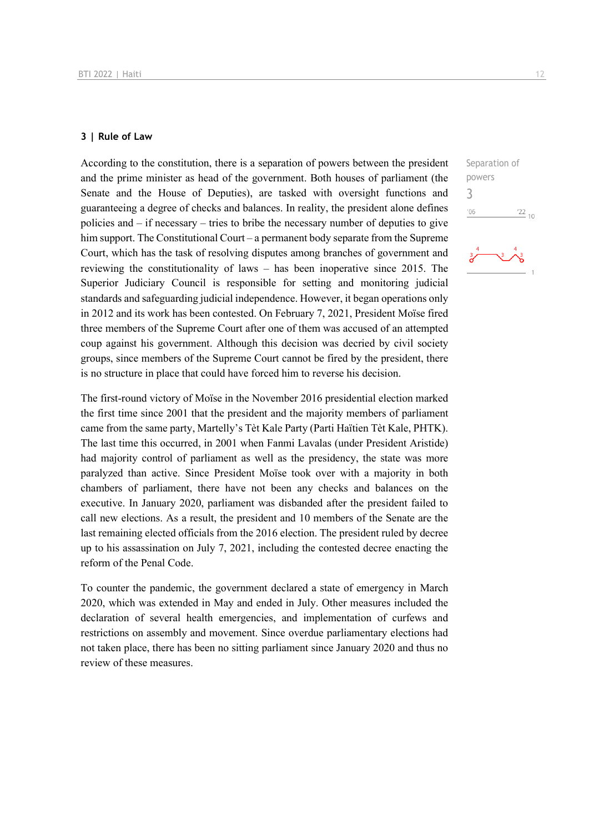#### **3 | Rule of Law**

According to the constitution, there is a separation of powers between the president and the prime minister as head of the government. Both houses of parliament (the Senate and the House of Deputies), are tasked with oversight functions and guaranteeing a degree of checks and balances. In reality, the president alone defines policies and – if necessary – tries to bribe the necessary number of deputies to give him support. The Constitutional Court – a permanent body separate from the Supreme Court, which has the task of resolving disputes among branches of government and reviewing the constitutionality of laws – has been inoperative since 2015. The Superior Judiciary Council is responsible for setting and monitoring judicial standards and safeguarding judicial independence. However, it began operations only in 2012 and its work has been contested. On February 7, 2021, President Moïse fired three members of the Supreme Court after one of them was accused of an attempted coup against his government. Although this decision was decried by civil society groups, since members of the Supreme Court cannot be fired by the president, there is no structure in place that could have forced him to reverse his decision.

The first-round victory of Moïse in the November 2016 presidential election marked the first time since 2001 that the president and the majority members of parliament came from the same party, Martelly's Tèt Kale Party (Parti Haïtien Tèt Kale, PHTK). The last time this occurred, in 2001 when Fanmi Lavalas (under President Aristide) had majority control of parliament as well as the presidency, the state was more paralyzed than active. Since President Moïse took over with a majority in both chambers of parliament, there have not been any checks and balances on the executive. In January 2020, parliament was disbanded after the president failed to call new elections. As a result, the president and 10 members of the Senate are the last remaining elected officials from the 2016 election. The president ruled by decree up to his assassination on July 7, 2021, including the contested decree enacting the reform of the Penal Code.

To counter the pandemic, the government declared a state of emergency in March 2020, which was extended in May and ended in July. Other measures included the declaration of several health emergencies, and implementation of curfews and restrictions on assembly and movement. Since overdue parliamentary elections had not taken place, there has been no sitting parliament since January 2020 and thus no review of these measures.

Separation of powers 3 $06'$  $\frac{22}{10}$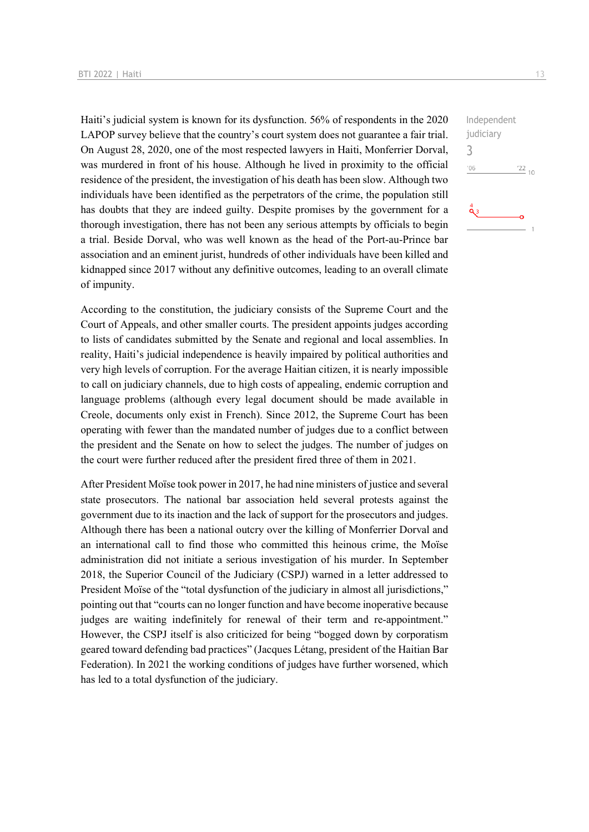Haiti's judicial system is known for its dysfunction. 56% of respondents in the 2020 LAPOP survey believe that the country's court system does not guarantee a fair trial. On August 28, 2020, one of the most respected lawyers in Haiti, Monferrier Dorval, was murdered in front of his house. Although he lived in proximity to the official residence of the president, the investigation of his death has been slow. Although two individuals have been identified as the perpetrators of the crime, the population still has doubts that they are indeed guilty. Despite promises by the government for a thorough investigation, there has not been any serious attempts by officials to begin a trial. Beside Dorval, who was well known as the head of the Port-au-Prince bar association and an eminent jurist, hundreds of other individuals have been killed and kidnapped since 2017 without any definitive outcomes, leading to an overall climate of impunity.

According to the constitution, the judiciary consists of the Supreme Court and the Court of Appeals, and other smaller courts. The president appoints judges according to lists of candidates submitted by the Senate and regional and local assemblies. In reality, Haiti's judicial independence is heavily impaired by political authorities and very high levels of corruption. For the average Haitian citizen, it is nearly impossible to call on judiciary channels, due to high costs of appealing, endemic corruption and language problems (although every legal document should be made available in Creole, documents only exist in French). Since 2012, the Supreme Court has been operating with fewer than the mandated number of judges due to a conflict between the president and the Senate on how to select the judges. The number of judges on the court were further reduced after the president fired three of them in 2021.

After President Moïse took power in 2017, he had nine ministers of justice and several state prosecutors. The national bar association held several protests against the government due to its inaction and the lack of support for the prosecutors and judges. Although there has been a national outcry over the killing of Monferrier Dorval and an international call to find those who committed this heinous crime, the Moïse administration did not initiate a serious investigation of his murder. In September 2018, the Superior Council of the Judiciary (CSPJ) warned in a letter addressed to President Moïse of the "total dysfunction of the judiciary in almost all jurisdictions," pointing out that "courts can no longer function and have become inoperative because judges are waiting indefinitely for renewal of their term and re-appointment." However, the CSPJ itself is also criticized for being "bogged down by corporatism geared toward defending bad practices" (Jacques Létang, president of the Haitian Bar Federation). In 2021 the working conditions of judges have further worsened, which has led to a total dysfunction of the judiciary.

Independent judiciary 3 $-06$  $\frac{22}{10}$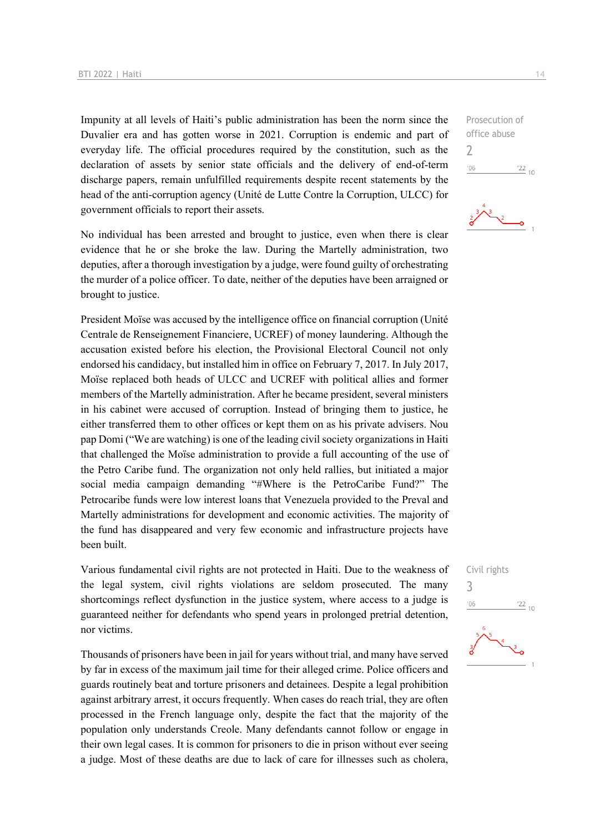Impunity at all levels of Haiti's public administration has been the norm since the Duvalier era and has gotten worse in 2021. Corruption is endemic and part of everyday life. The official procedures required by the constitution, such as the declaration of assets by senior state officials and the delivery of end-of-term discharge papers, remain unfulfilled requirements despite recent statements by the head of the anti-corruption agency (Unité de Lutte Contre la Corruption, ULCC) for government officials to report their assets.

No individual has been arrested and brought to justice, even when there is clear evidence that he or she broke the law. During the Martelly administration, two deputies, after a thorough investigation by a judge, were found guilty of orchestrating the murder of a police officer. To date, neither of the deputies have been arraigned or brought to justice.

President Moïse was accused by the intelligence office on financial corruption (Unité Centrale de Renseignement Financiere, UCREF) of money laundering. Although the accusation existed before his election, the Provisional Electoral Council not only endorsed his candidacy, but installed him in office on February 7, 2017. In July 2017, Moïse replaced both heads of ULCC and UCREF with political allies and former members of the Martelly administration. After he became president, several ministers in his cabinet were accused of corruption. Instead of bringing them to justice, he either transferred them to other offices or kept them on as his private advisers. Nou pap Domi ("We are watching) is one of the leading civil society organizations in Haiti that challenged the Moïse administration to provide a full accounting of the use of the Petro Caribe fund. The organization not only held rallies, but initiated a major social media campaign demanding "#Where is the PetroCaribe Fund?" The Petrocaribe funds were low interest loans that Venezuela provided to the Preval and Martelly administrations for development and economic activities. The majority of the fund has disappeared and very few economic and infrastructure projects have been built.

Various fundamental civil rights are not protected in Haiti. Due to the weakness of the legal system, civil rights violations are seldom prosecuted. The many shortcomings reflect dysfunction in the justice system, where access to a judge is guaranteed neither for defendants who spend years in prolonged pretrial detention, nor victims.

Thousands of prisoners have been in jail for years without trial, and many have served by far in excess of the maximum jail time for their alleged crime. Police officers and guards routinely beat and torture prisoners and detainees. Despite a legal prohibition against arbitrary arrest, it occurs frequently. When cases do reach trial, they are often processed in the French language only, despite the fact that the majority of the population only understands Creole. Many defendants cannot follow or engage in their own legal cases. It is common for prisoners to die in prison without ever seeing a judge. Most of these deaths are due to lack of care for illnesses such as cholera,

office abuse  $\overline{\phantom{0}}$  $-06$  $\frac{22}{10}$ 

Prosecution of

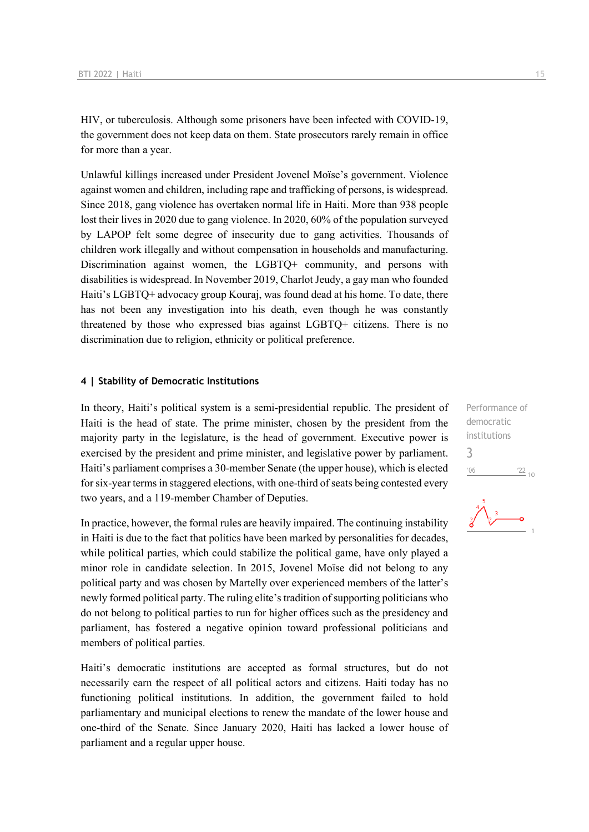HIV, or tuberculosis. Although some prisoners have been infected with COVID-19, the government does not keep data on them. State prosecutors rarely remain in office for more than a year.

Unlawful killings increased under President Jovenel Moïse's government. Violence against women and children, including rape and trafficking of persons, is widespread. Since 2018, gang violence has overtaken normal life in Haiti. More than 938 people lost their lives in 2020 due to gang violence. In 2020, 60% of the population surveyed by LAPOP felt some degree of insecurity due to gang activities. Thousands of children work illegally and without compensation in households and manufacturing. Discrimination against women, the LGBTQ+ community, and persons with disabilities is widespread. In November 2019, Charlot Jeudy, a gay man who founded Haiti's LGBTQ+ advocacy group Kouraj, was found dead at his home. To date, there has not been any investigation into his death, even though he was constantly threatened by those who expressed bias against LGBTQ+ citizens. There is no discrimination due to religion, ethnicity or political preference.

#### **4 | Stability of Democratic Institutions**

In theory, Haiti's political system is a semi-presidential republic. The president of Haiti is the head of state. The prime minister, chosen by the president from the majority party in the legislature, is the head of government. Executive power is exercised by the president and prime minister, and legislative power by parliament. Haiti's parliament comprises a 30-member Senate (the upper house), which is elected for six-year terms in staggered elections, with one-third of seats being contested every two years, and a 119-member Chamber of Deputies.

In practice, however, the formal rules are heavily impaired. The continuing instability in Haiti is due to the fact that politics have been marked by personalities for decades, while political parties, which could stabilize the political game, have only played a minor role in candidate selection. In 2015, Jovenel Moïse did not belong to any political party and was chosen by Martelly over experienced members of the latter's newly formed political party. The ruling elite's tradition of supporting politicians who do not belong to political parties to run for higher offices such as the presidency and parliament, has fostered a negative opinion toward professional politicians and members of political parties.

Haiti's democratic institutions are accepted as formal structures, but do not necessarily earn the respect of all political actors and citizens. Haiti today has no functioning political institutions. In addition, the government failed to hold parliamentary and municipal elections to renew the mandate of the lower house and one-third of the Senate. Since January 2020, Haiti has lacked a lower house of parliament and a regular upper house.

Performance of democratic institutions 3 $06'$  $\frac{22}{10}$ 

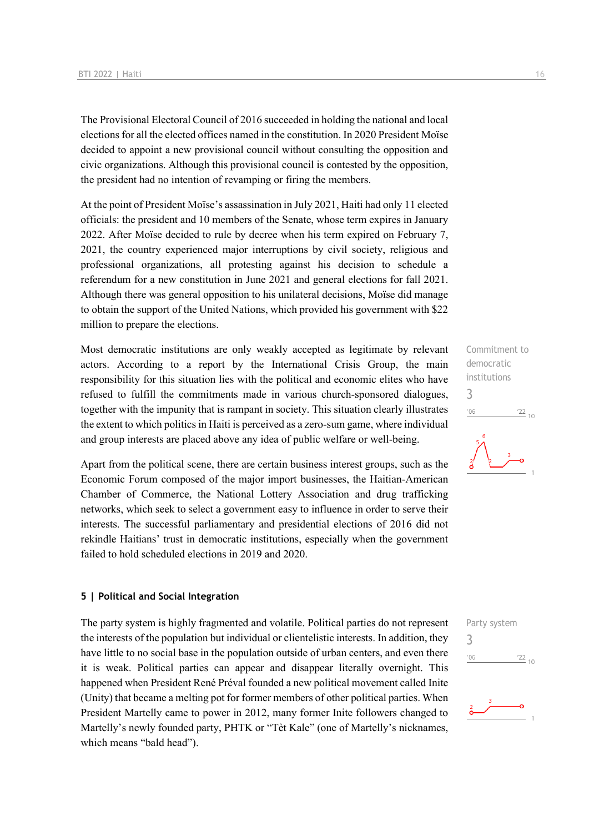The Provisional Electoral Council of 2016 succeeded in holding the national and local elections for all the elected offices named in the constitution. In 2020 President Moïse decided to appoint a new provisional council without consulting the opposition and civic organizations. Although this provisional council is contested by the opposition, the president had no intention of revamping or firing the members.

At the point of President Moïse's assassination in July 2021, Haiti had only 11 elected officials: the president and 10 members of the Senate, whose term expires in January 2022. After Moïse decided to rule by decree when his term expired on February 7, 2021, the country experienced major interruptions by civil society, religious and professional organizations, all protesting against his decision to schedule a referendum for a new constitution in June 2021 and general elections for fall 2021. Although there was general opposition to his unilateral decisions, Moïse did manage to obtain the support of the United Nations, which provided his government with \$22 million to prepare the elections.

Most democratic institutions are only weakly accepted as legitimate by relevant actors. According to a report by the International Crisis Group, the main responsibility for this situation lies with the political and economic elites who have refused to fulfill the commitments made in various church-sponsored dialogues, together with the impunity that is rampant in society. This situation clearly illustrates the extent to which politics in Haiti is perceived as a zero-sum game, where individual and group interests are placed above any idea of public welfare or well-being.

Apart from the political scene, there are certain business interest groups, such as the Economic Forum composed of the major import businesses, the Haitian-American Chamber of Commerce, the National Lottery Association and drug trafficking networks, which seek to select a government easy to influence in order to serve their interests. The successful parliamentary and presidential elections of 2016 did not rekindle Haitians' trust in democratic institutions, especially when the government failed to hold scheduled elections in 2019 and 2020.

#### **5 | Political and Social Integration**

The party system is highly fragmented and volatile. Political parties do not represent the interests of the population but individual or clientelistic interests. In addition, they have little to no social base in the population outside of urban centers, and even there it is weak. Political parties can appear and disappear literally overnight. This happened when President René Préval founded a new political movement called Inite (Unity) that became a melting pot for former members of other political parties. When President Martelly came to power in 2012, many former Inite followers changed to Martelly's newly founded party, PHTK or "Tèt Kale" (one of Martelly's nicknames, which means "bald head").

Commitment to democratic institutions 3  $\frac{22}{10}$  $106$ 

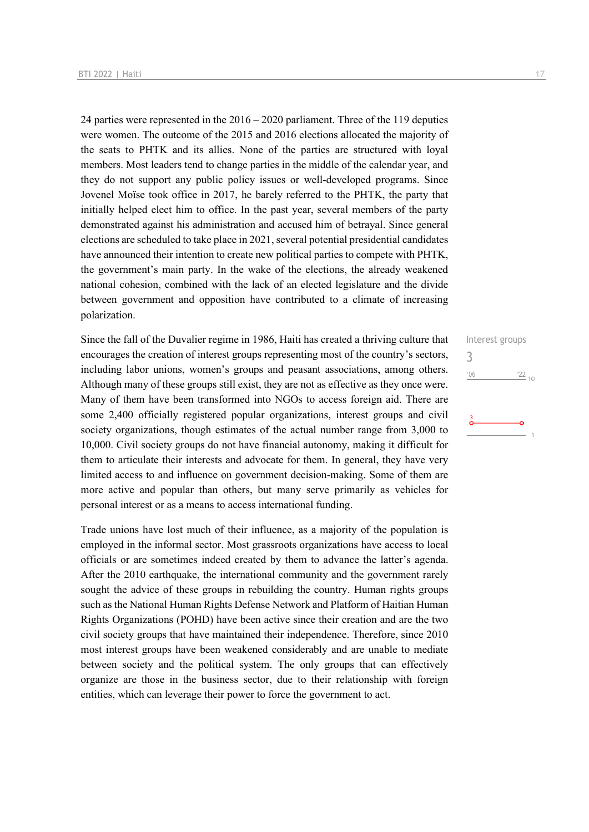24 parties were represented in the 2016 – 2020 parliament. Three of the 119 deputies were women. The outcome of the 2015 and 2016 elections allocated the majority of the seats to PHTK and its allies. None of the parties are structured with loyal members. Most leaders tend to change parties in the middle of the calendar year, and they do not support any public policy issues or well-developed programs. Since Jovenel Moïse took office in 2017, he barely referred to the PHTK, the party that initially helped elect him to office. In the past year, several members of the party demonstrated against his administration and accused him of betrayal. Since general elections are scheduled to take place in 2021, several potential presidential candidates have announced their intention to create new political parties to compete with PHTK, the government's main party. In the wake of the elections, the already weakened national cohesion, combined with the lack of an elected legislature and the divide between government and opposition have contributed to a climate of increasing polarization.

Since the fall of the Duvalier regime in 1986, Haiti has created a thriving culture that encourages the creation of interest groups representing most of the country's sectors, including labor unions, women's groups and peasant associations, among others. Although many of these groups still exist, they are not as effective as they once were. Many of them have been transformed into NGOs to access foreign aid. There are some 2,400 officially registered popular organizations, interest groups and civil society organizations, though estimates of the actual number range from 3,000 to 10,000. Civil society groups do not have financial autonomy, making it difficult for them to articulate their interests and advocate for them. In general, they have very limited access to and influence on government decision-making. Some of them are more active and popular than others, but many serve primarily as vehicles for personal interest or as a means to access international funding.

Trade unions have lost much of their influence, as a majority of the population is employed in the informal sector. Most grassroots organizations have access to local officials or are sometimes indeed created by them to advance the latter's agenda. After the 2010 earthquake, the international community and the government rarely sought the advice of these groups in rebuilding the country. Human rights groups such as the National Human Rights Defense Network and Platform of Haitian Human Rights Organizations (POHD) have been active since their creation and are the two civil society groups that have maintained their independence. Therefore, since 2010 most interest groups have been weakened considerably and are unable to mediate between society and the political system. The only groups that can effectively organize are those in the business sector, due to their relationship with foreign entities, which can leverage their power to force the government to act.

Interest groups 3 $^{\prime}06$  $\frac{22}{10}$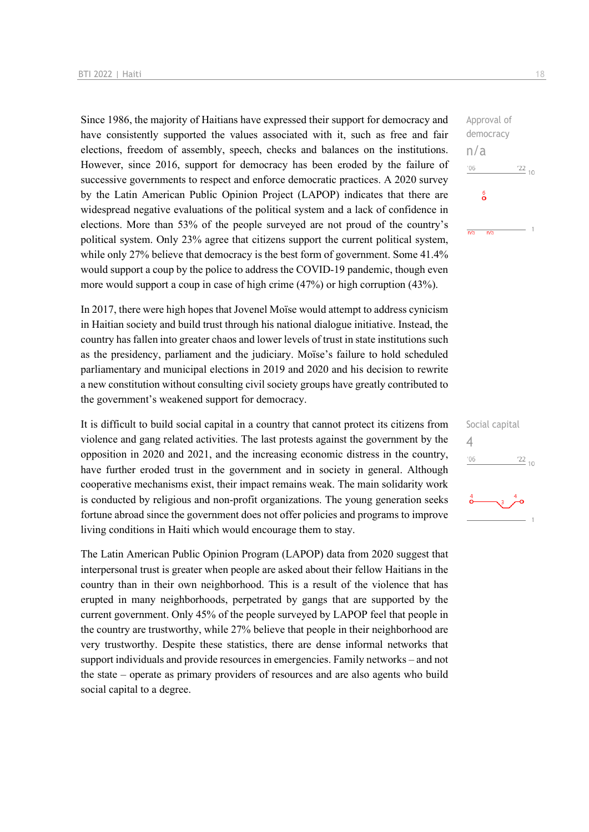Since 1986, the majority of Haitians have expressed their support for democracy and have consistently supported the values associated with it, such as free and fair elections, freedom of assembly, speech, checks and balances on the institutions. However, since 2016, support for democracy has been eroded by the failure of successive governments to respect and enforce democratic practices. A 2020 survey by the Latin American Public Opinion Project (LAPOP) indicates that there are widespread negative evaluations of the political system and a lack of confidence in elections. More than 53% of the people surveyed are not proud of the country's political system. Only 23% agree that citizens support the current political system, while only 27% believe that democracy is the best form of government. Some 41.4% would support a coup by the police to address the COVID-19 pandemic, though even more would support a coup in case of high crime (47%) or high corruption (43%).

In 2017, there were high hopes that Jovenel Moïse would attempt to address cynicism in Haitian society and build trust through his national dialogue initiative. Instead, the country has fallen into greater chaos and lower levels of trust in state institutions such as the presidency, parliament and the judiciary. Moïse's failure to hold scheduled parliamentary and municipal elections in 2019 and 2020 and his decision to rewrite a new constitution without consulting civil society groups have greatly contributed to the government's weakened support for democracy.

It is difficult to build social capital in a country that cannot protect its citizens from violence and gang related activities. The last protests against the government by the opposition in 2020 and 2021, and the increasing economic distress in the country, have further eroded trust in the government and in society in general. Although cooperative mechanisms exist, their impact remains weak. The main solidarity work is conducted by religious and non-profit organizations. The young generation seeks fortune abroad since the government does not offer policies and programs to improve living conditions in Haiti which would encourage them to stay.

The Latin American Public Opinion Program (LAPOP) data from 2020 suggest that interpersonal trust is greater when people are asked about their fellow Haitians in the country than in their own neighborhood. This is a result of the violence that has erupted in many neighborhoods, perpetrated by gangs that are supported by the current government. Only 45% of the people surveyed by LAPOP feel that people in the country are trustworthy, while 27% believe that people in their neighborhood are very trustworthy. Despite these statistics, there are dense informal networks that support individuals and provide resources in emergencies. Family networks – and not the state – operate as primary providers of resources and are also agents who build social capital to a degree.



|                      | Social capital   |
|----------------------|------------------|
| '06                  | $\frac{122}{10}$ |
| $\overset{4}{\circ}$ | 3                |
|                      |                  |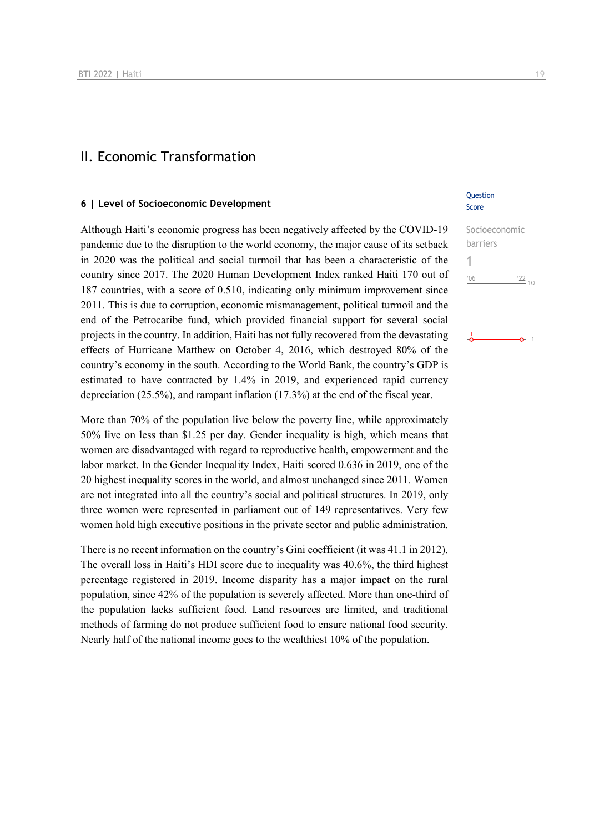### II. Economic Transformation

#### **6 | Level of Socioeconomic Development**

Although Haiti's economic progress has been negatively affected by the COVID-19 pandemic due to the disruption to the world economy, the major cause of its setback in 2020 was the political and social turmoil that has been a characteristic of the country since 2017. The 2020 Human Development Index ranked Haiti 170 out of 187 countries, with a score of 0.510, indicating only minimum improvement since 2011. This is due to corruption, economic mismanagement, political turmoil and the end of the Petrocaribe fund, which provided financial support for several social projects in the country. In addition, Haiti has not fully recovered from the devastating effects of Hurricane Matthew on October 4, 2016, which destroyed 80% of the country's economy in the south. According to the World Bank, the country's GDP is estimated to have contracted by 1.4% in 2019, and experienced rapid currency depreciation (25.5%), and rampant inflation (17.3%) at the end of the fiscal year.

More than 70% of the population live below the poverty line, while approximately 50% live on less than \$1.25 per day. Gender inequality is high, which means that women are disadvantaged with regard to reproductive health, empowerment and the labor market. In the Gender Inequality Index, Haiti scored 0.636 in 2019, one of the 20 highest inequality scores in the world, and almost unchanged since 2011. Women are not integrated into all the country's social and political structures. In 2019, only three women were represented in parliament out of 149 representatives. Very few women hold high executive positions in the private sector and public administration.

There is no recent information on the country's Gini coefficient (it was 41.1 in 2012). The overall loss in Haiti's HDI score due to inequality was 40.6%, the third highest percentage registered in 2019. Income disparity has a major impact on the rural population, since 42% of the population is severely affected. More than one-third of the population lacks sufficient food. Land resources are limited, and traditional methods of farming do not produce sufficient food to ensure national food security. Nearly half of the national income goes to the wealthiest 10% of the population.

#### **Ouestion** Score

Socioeconomic barriers 1 $\frac{22}{10}$  $-06$ 

ó.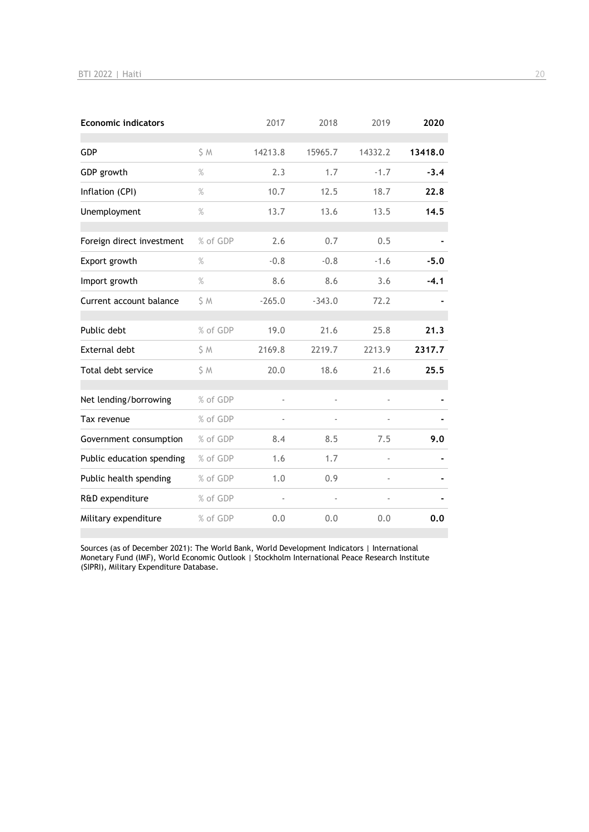| <b>Economic indicators</b> |          | 2017                     | 2018     | 2019    | 2020    |
|----------------------------|----------|--------------------------|----------|---------|---------|
| <b>GDP</b>                 | S M      | 14213.8                  | 15965.7  | 14332.2 | 13418.0 |
| GDP growth                 | $\%$     | 2.3                      | 1.7      | $-1.7$  | $-3.4$  |
| Inflation (CPI)            | $\%$     | 10.7                     | 12.5     | 18.7    | 22.8    |
| Unemployment               | $\%$     | 13.7                     | 13.6     | 13.5    | 14.5    |
| Foreign direct investment  | % of GDP | 2.6                      | 0.7      | 0.5     |         |
| Export growth              | $\%$     | $-0.8$                   | $-0.8$   | $-1.6$  | $-5.0$  |
| Import growth              | $\%$     | 8.6                      | 8.6      | 3.6     | $-4.1$  |
| Current account balance    | \$ M     | $-265.0$                 | $-343.0$ | 72.2    |         |
| Public debt                | % of GDP | 19.0                     | 21.6     | 25.8    | 21.3    |
| <b>External debt</b>       | \$ M     | 2169.8                   | 2219.7   | 2213.9  | 2317.7  |
| Total debt service         | \$ M     | 20.0                     | 18.6     | 21.6    | 25.5    |
| Net lending/borrowing      | % of GDP | $\overline{\phantom{a}}$ |          | ä,      |         |
| Tax revenue                | % of GDP |                          |          |         |         |
| Government consumption     | % of GDP | 8.4                      | 8.5      | 7.5     | 9.0     |
| Public education spending  | % of GDP | 1.6                      | 1.7      | ä,      |         |
| Public health spending     | % of GDP | 1.0                      | 0.9      |         |         |
| R&D expenditure            | % of GDP |                          |          |         |         |
| Military expenditure       | % of GDP | 0.0                      | 0.0      | 0.0     | 0.0     |

Sources (as of December 2021): The World Bank, World Development Indicators | International Monetary Fund (IMF), World Economic Outlook | Stockholm International Peace Research Institute (SIPRI), Military Expenditure Database.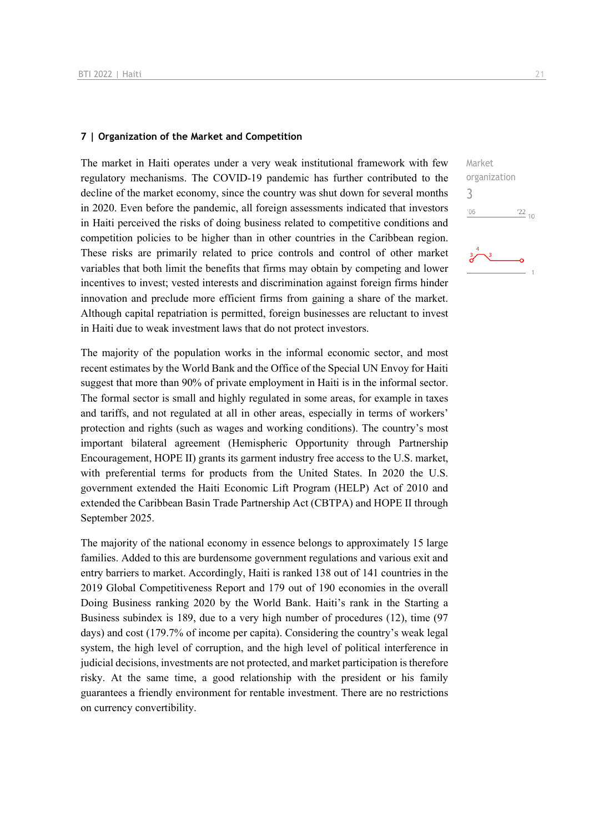#### **7 | Organization of the Market and Competition**

The market in Haiti operates under a very weak institutional framework with few regulatory mechanisms. The COVID-19 pandemic has further contributed to the decline of the market economy, since the country was shut down for several months in 2020. Even before the pandemic, all foreign assessments indicated that investors in Haiti perceived the risks of doing business related to competitive conditions and competition policies to be higher than in other countries in the Caribbean region. These risks are primarily related to price controls and control of other market variables that both limit the benefits that firms may obtain by competing and lower incentives to invest; vested interests and discrimination against foreign firms hinder innovation and preclude more efficient firms from gaining a share of the market. Although capital repatriation is permitted, foreign businesses are reluctant to invest in Haiti due to weak investment laws that do not protect investors.

The majority of the population works in the informal economic sector, and most recent estimates by the World Bank and the Office of the Special UN Envoy for Haiti suggest that more than 90% of private employment in Haiti is in the informal sector. The formal sector is small and highly regulated in some areas, for example in taxes and tariffs, and not regulated at all in other areas, especially in terms of workers' protection and rights (such as wages and working conditions). The country's most important bilateral agreement (Hemispheric Opportunity through Partnership Encouragement, HOPE II) grants its garment industry free access to the U.S. market, with preferential terms for products from the United States. In 2020 the U.S. government extended the Haiti Economic Lift Program (HELP) Act of 2010 and extended the Caribbean Basin Trade Partnership Act (CBTPA) and HOPE II through September 2025.

The majority of the national economy in essence belongs to approximately 15 large families. Added to this are burdensome government regulations and various exit and entry barriers to market. Accordingly, Haiti is ranked 138 out of 141 countries in the 2019 Global Competitiveness Report and 179 out of 190 economies in the overall Doing Business ranking 2020 by the World Bank. Haiti's rank in the Starting a Business subindex is 189, due to a very high number of procedures (12), time (97 days) and cost (179.7% of income per capita). Considering the country's weak legal system, the high level of corruption, and the high level of political interference in judicial decisions, investments are not protected, and market participation is therefore risky. At the same time, a good relationship with the president or his family guarantees a friendly environment for rentable investment. There are no restrictions on currency convertibility.

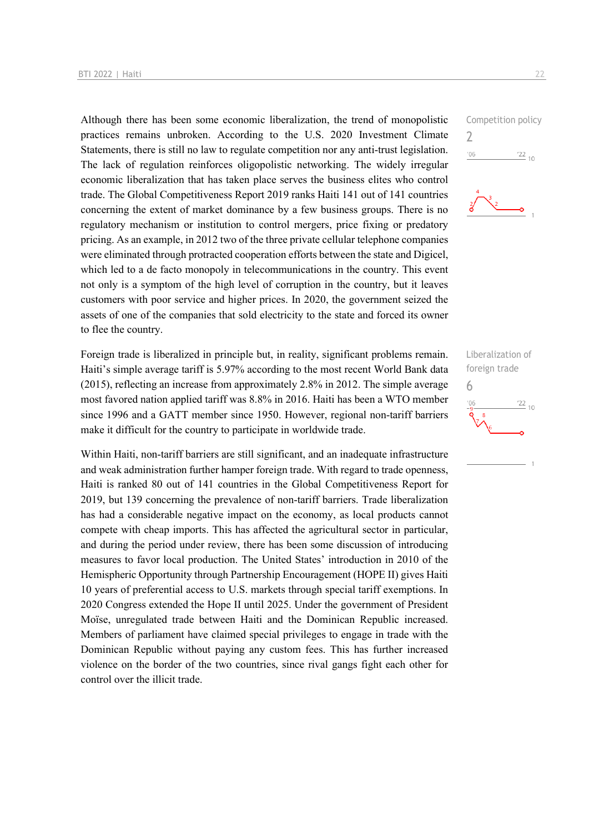Although there has been some economic liberalization, the trend of monopolistic practices remains unbroken. According to the U.S. 2020 Investment Climate Statements, there is still no law to regulate competition nor any anti-trust legislation. The lack of regulation reinforces oligopolistic networking. The widely irregular economic liberalization that has taken place serves the business elites who control trade. The Global Competitiveness Report 2019 ranks Haiti 141 out of 141 countries concerning the extent of market dominance by a few business groups. There is no regulatory mechanism or institution to control mergers, price fixing or predatory pricing. As an example, in 2012 two of the three private cellular telephone companies were eliminated through protracted cooperation efforts between the state and Digicel, which led to a de facto monopoly in telecommunications in the country. This event not only is a symptom of the high level of corruption in the country, but it leaves customers with poor service and higher prices. In 2020, the government seized the assets of one of the companies that sold electricity to the state and forced its owner to flee the country.

Foreign trade is liberalized in principle but, in reality, significant problems remain. Haiti's simple average tariff is 5.97% according to the most recent World Bank data (2015), reflecting an increase from approximately 2.8% in 2012. The simple average most favored nation applied tariff was 8.8% in 2016. Haiti has been a WTO member since 1996 and a GATT member since 1950. However, regional non-tariff barriers make it difficult for the country to participate in worldwide trade.

Within Haiti, non-tariff barriers are still significant, and an inadequate infrastructure and weak administration further hamper foreign trade. With regard to trade openness, Haiti is ranked 80 out of 141 countries in the Global Competitiveness Report for 2019, but 139 concerning the prevalence of non-tariff barriers. Trade liberalization has had a considerable negative impact on the economy, as local products cannot compete with cheap imports. This has affected the agricultural sector in particular, and during the period under review, there has been some discussion of introducing measures to favor local production. The United States' introduction in 2010 of the Hemispheric Opportunity through Partnership Encouragement (HOPE II) gives Haiti 10 years of preferential access to U.S. markets through special tariff exemptions. In 2020 Congress extended the Hope II until 2025. Under the government of President Moïse, unregulated trade between Haiti and the Dominican Republic increased. Members of parliament have claimed special privileges to engage in trade with the Dominican Republic without paying any custom fees. This has further increased violence on the border of the two countries, since rival gangs fight each other for control over the illicit trade.



Liberalization of foreign trade 6 $\frac{22}{10}$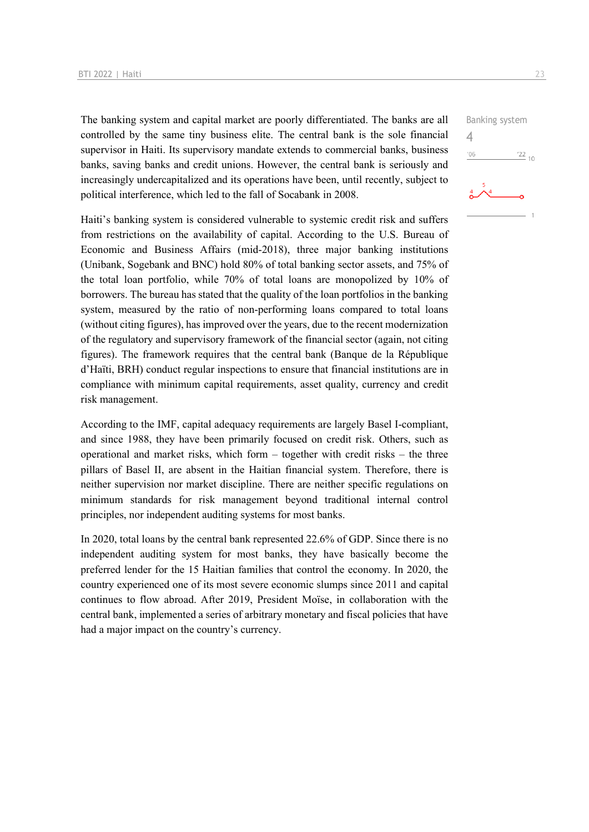The banking system and capital market are poorly differentiated. The banks are all controlled by the same tiny business elite. The central bank is the sole financial supervisor in Haiti. Its supervisory mandate extends to commercial banks, business banks, saving banks and credit unions. However, the central bank is seriously and increasingly undercapitalized and its operations have been, until recently, subject to political interference, which led to the fall of Socabank in 2008.

Haiti's banking system is considered vulnerable to systemic credit risk and suffers from restrictions on the availability of capital. According to the U.S. Bureau of Economic and Business Affairs (mid-2018), three major banking institutions (Unibank, Sogebank and BNC) hold 80% of total banking sector assets, and 75% of the total loan portfolio, while 70% of total loans are monopolized by 10% of borrowers. The bureau has stated that the quality of the loan portfolios in the banking system, measured by the ratio of non-performing loans compared to total loans (without citing figures), has improved over the years, due to the recent modernization of the regulatory and supervisory framework of the financial sector (again, not citing figures). The framework requires that the central bank (Banque de la République d'Haïti, BRH) conduct regular inspections to ensure that financial institutions are in compliance with minimum capital requirements, asset quality, currency and credit risk management.

According to the IMF, capital adequacy requirements are largely Basel I-compliant, and since 1988, they have been primarily focused on credit risk. Others, such as operational and market risks, which form – together with credit risks – the three pillars of Basel II, are absent in the Haitian financial system. Therefore, there is neither supervision nor market discipline. There are neither specific regulations on minimum standards for risk management beyond traditional internal control principles, nor independent auditing systems for most banks.

In 2020, total loans by the central bank represented 22.6% of GDP. Since there is no independent auditing system for most banks, they have basically become the preferred lender for the 15 Haitian families that control the economy. In 2020, the country experienced one of its most severe economic slumps since 2011 and capital continues to flow abroad. After 2019, President Moïse, in collaboration with the central bank, implemented a series of arbitrary monetary and fiscal policies that have had a major impact on the country's currency.

 $\frac{22}{10}$ 

Banking system

4 $^{\prime}06$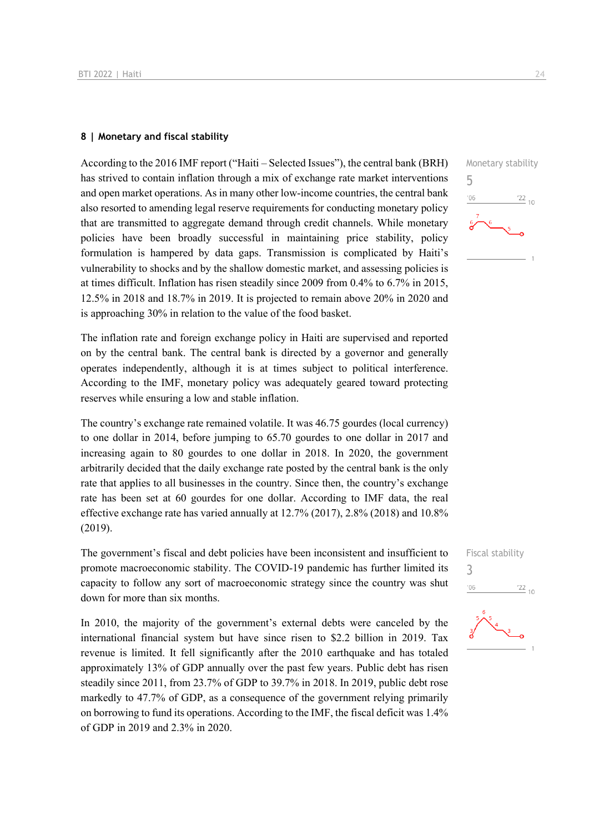#### **8 | Monetary and fiscal stability**

According to the 2016 IMF report ("Haiti – Selected Issues"), the central bank (BRH) has strived to contain inflation through a mix of exchange rate market interventions and open market operations. As in many other low-income countries, the central bank also resorted to amending legal reserve requirements for conducting monetary policy that are transmitted to aggregate demand through credit channels. While monetary policies have been broadly successful in maintaining price stability, policy formulation is hampered by data gaps. Transmission is complicated by Haiti's vulnerability to shocks and by the shallow domestic market, and assessing policies is at times difficult. Inflation has risen steadily since 2009 from 0.4% to 6.7% in 2015, 12.5% in 2018 and 18.7% in 2019. It is projected to remain above 20% in 2020 and is approaching 30% in relation to the value of the food basket.

The inflation rate and foreign exchange policy in Haiti are supervised and reported on by the central bank. The central bank is directed by a governor and generally operates independently, although it is at times subject to political interference. According to the IMF, monetary policy was adequately geared toward protecting reserves while ensuring a low and stable inflation.

The country's exchange rate remained volatile. It was 46.75 gourdes (local currency) to one dollar in 2014, before jumping to 65.70 gourdes to one dollar in 2017 and increasing again to 80 gourdes to one dollar in 2018. In 2020, the government arbitrarily decided that the daily exchange rate posted by the central bank is the only rate that applies to all businesses in the country. Since then, the country's exchange rate has been set at 60 gourdes for one dollar. According to IMF data, the real effective exchange rate has varied annually at 12.7% (2017), 2.8% (2018) and 10.8% (2019).

The government's fiscal and debt policies have been inconsistent and insufficient to promote macroeconomic stability. The COVID-19 pandemic has further limited its capacity to follow any sort of macroeconomic strategy since the country was shut down for more than six months.

In 2010, the majority of the government's external debts were canceled by the international financial system but have since risen to \$2.2 billion in 2019. Tax revenue is limited. It fell significantly after the 2010 earthquake and has totaled approximately 13% of GDP annually over the past few years. Public debt has risen steadily since 2011, from 23.7% of GDP to 39.7% in 2018. In 2019, public debt rose markedly to 47.7% of GDP, as a consequence of the government relying primarily on borrowing to fund its operations. According to the IMF, the fiscal deficit was 1.4% of GDP in 2019 and 2.3% in 2020.

5

 $-06$ 

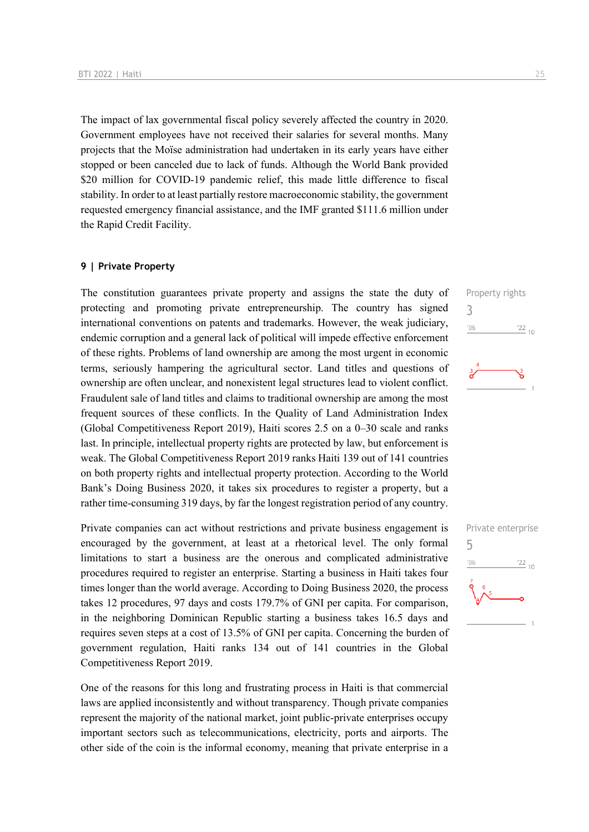The impact of lax governmental fiscal policy severely affected the country in 2020. Government employees have not received their salaries for several months. Many projects that the Moïse administration had undertaken in its early years have either stopped or been canceled due to lack of funds. Although the World Bank provided \$20 million for COVID-19 pandemic relief, this made little difference to fiscal stability. In order to at least partially restore macroeconomic stability, the government requested emergency financial assistance, and the IMF granted \$111.6 million under the Rapid Credit Facility.

#### **9 | Private Property**

The constitution guarantees private property and assigns the state the duty of protecting and promoting private entrepreneurship. The country has signed international conventions on patents and trademarks. However, the weak judiciary, endemic corruption and a general lack of political will impede effective enforcement of these rights. Problems of land ownership are among the most urgent in economic terms, seriously hampering the agricultural sector. Land titles and questions of ownership are often unclear, and nonexistent legal structures lead to violent conflict. Fraudulent sale of land titles and claims to traditional ownership are among the most frequent sources of these conflicts. In the Quality of Land Administration Index (Global Competitiveness Report 2019), Haiti scores 2.5 on a 0–30 scale and ranks last. In principle, intellectual property rights are protected by law, but enforcement is weak. The Global Competitiveness Report 2019 ranks Haiti 139 out of 141 countries on both property rights and intellectual property protection. According to the World Bank's Doing Business 2020, it takes six procedures to register a property, but a rather time-consuming 319 days, by far the longest registration period of any country.

Private companies can act without restrictions and private business engagement is encouraged by the government, at least at a rhetorical level. The only formal limitations to start a business are the onerous and complicated administrative procedures required to register an enterprise. Starting a business in Haiti takes four times longer than the world average. According to Doing Business 2020, the process takes 12 procedures, 97 days and costs 179.7% of GNI per capita. For comparison, in the neighboring Dominican Republic starting a business takes 16.5 days and requires seven steps at a cost of 13.5% of GNI per capita. Concerning the burden of government regulation, Haiti ranks 134 out of 141 countries in the Global Competitiveness Report 2019.

One of the reasons for this long and frustrating process in Haiti is that commercial laws are applied inconsistently and without transparency. Though private companies represent the majority of the national market, joint public-private enterprises occupy important sectors such as telecommunications, electricity, ports and airports. The other side of the coin is the informal economy, meaning that private enterprise in a



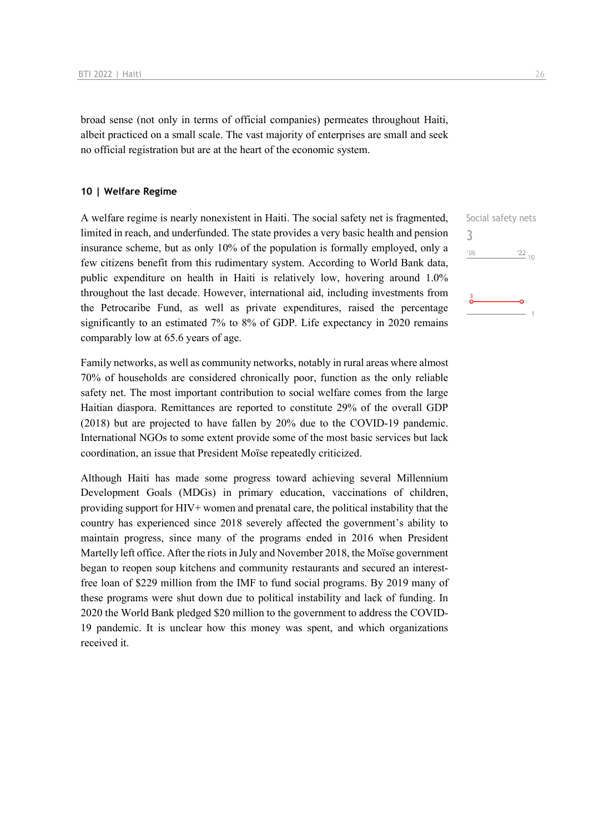broad sense (not only in terms of official companies) permeates throughout Haiti, albeit practiced on a small scale. The vast majority of enterprises are small and seek no official registration but are at the heart of the economic system.

#### **10 | Welfare Regime**

A welfare regime is nearly nonexistent in Haiti. The social safety net is fragmented, limited in reach, and underfunded. The state provides a very basic health and pension insurance scheme, but as only 10% of the population is formally employed, only a few citizens benefit from this rudimentary system. According to World Bank data, public expenditure on health in Haiti is relatively low, hovering around 1.0% throughout the last decade. However, international aid, including investments from the Petrocaribe Fund, as well as private expenditures, raised the percentage significantly to an estimated 7% to 8% of GDP. Life expectancy in 2020 remains comparably low at 65.6 years of age.

Family networks, as well as community networks, notably in rural areas where almost 70% of households are considered chronically poor, function as the only reliable safety net. The most important contribution to social welfare comes from the large Haitian diaspora. Remittances are reported to constitute 29% of the overall GDP (2018) but are projected to have fallen by 20% due to the COVID-19 pandemic. International NGOs to some extent provide some of the most basic services but lack coordination, an issue that President Moïse repeatedly criticized.

Although Haiti has made some progress toward achieving several Millennium Development Goals (MDGs) in primary education, vaccinations of children, providing support for HIV+ women and prenatal care, the political instability that the country has experienced since 2018 severely affected the government's ability to maintain progress, since many of the programs ended in 2016 when President Martelly left office. After the riots in July and November 2018, the Moïse government began to reopen soup kitchens and community restaurants and secured an interestfree loan of \$229 million from the IMF to fund social programs. By 2019 many of these programs were shut down due to political instability and lack of funding. In 2020 the World Bank pledged \$20 million to the government to address the COVID-19 pandemic. It is unclear how this money was spent, and which organizations received it.

Social safety nets 3 $\frac{22}{10}$  $'06$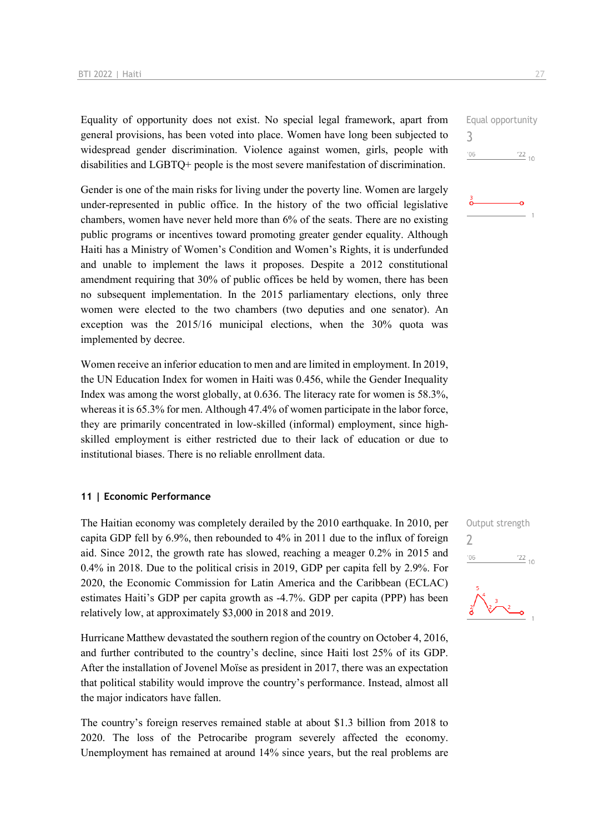Equality of opportunity does not exist. No special legal framework, apart from general provisions, has been voted into place. Women have long been subjected to widespread gender discrimination. Violence against women, girls, people with disabilities and LGBTQ+ people is the most severe manifestation of discrimination.

Gender is one of the main risks for living under the poverty line. Women are largely under-represented in public office. In the history of the two official legislative chambers, women have never held more than 6% of the seats. There are no existing public programs or incentives toward promoting greater gender equality. Although Haiti has a Ministry of Women's Condition and Women's Rights, it is underfunded and unable to implement the laws it proposes. Despite a 2012 constitutional amendment requiring that 30% of public offices be held by women, there has been no subsequent implementation. In the 2015 parliamentary elections, only three women were elected to the two chambers (two deputies and one senator). An exception was the 2015/16 municipal elections, when the 30% quota was implemented by decree.

Women receive an inferior education to men and are limited in employment. In 2019, the UN Education Index for women in Haiti was 0.456, while the Gender Inequality Index was among the worst globally, at 0.636. The literacy rate for women is 58.3%, whereas it is 65.3% for men. Although 47.4% of women participate in the labor force, they are primarily concentrated in low-skilled (informal) employment, since highskilled employment is either restricted due to their lack of education or due to institutional biases. There is no reliable enrollment data.

#### **11 | Economic Performance**

The Haitian economy was completely derailed by the 2010 earthquake. In 2010, per capita GDP fell by 6.9%, then rebounded to 4% in 2011 due to the influx of foreign aid. Since 2012, the growth rate has slowed, reaching a meager 0.2% in 2015 and 0.4% in 2018. Due to the political crisis in 2019, GDP per capita fell by 2.9%. For 2020, the Economic Commission for Latin America and the Caribbean (ECLAC) estimates Haiti's GDP per capita growth as -4.7%. GDP per capita (PPP) has been relatively low, at approximately \$3,000 in 2018 and 2019.

Hurricane Matthew devastated the southern region of the country on October 4, 2016, and further contributed to the country's decline, since Haiti lost 25% of its GDP. After the installation of Jovenel Moïse as president in 2017, there was an expectation that political stability would improve the country's performance. Instead, almost all the major indicators have fallen.

The country's foreign reserves remained stable at about \$1.3 billion from 2018 to 2020. The loss of the Petrocaribe program severely affected the economy. Unemployment has remained at around 14% since years, but the real problems are

Equal opportunity 3  $^{\prime}06$  $^{22}$  10



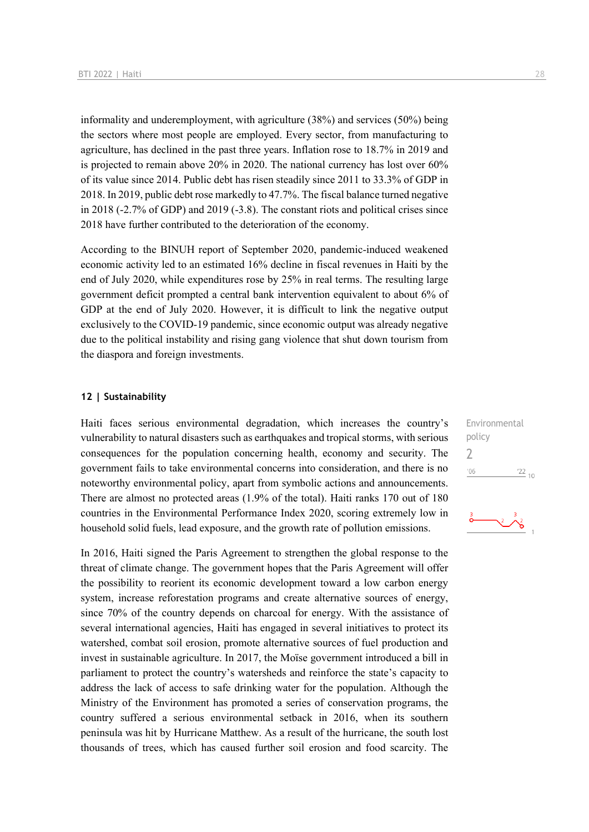informality and underemployment, with agriculture (38%) and services (50%) being the sectors where most people are employed. Every sector, from manufacturing to agriculture, has declined in the past three years. Inflation rose to 18.7% in 2019 and is projected to remain above 20% in 2020. The national currency has lost over 60% of its value since 2014. Public debt has risen steadily since 2011 to 33.3% of GDP in 2018. In 2019, public debt rose markedly to 47.7%. The fiscal balance turned negative in 2018 (-2.7% of GDP) and 2019 (-3.8). The constant riots and political crises since 2018 have further contributed to the deterioration of the economy.

According to the BINUH report of September 2020, pandemic-induced weakened economic activity led to an estimated 16% decline in fiscal revenues in Haiti by the end of July 2020, while expenditures rose by 25% in real terms. The resulting large government deficit prompted a central bank intervention equivalent to about 6% of GDP at the end of July 2020. However, it is difficult to link the negative output exclusively to the COVID-19 pandemic, since economic output was already negative due to the political instability and rising gang violence that shut down tourism from the diaspora and foreign investments.

#### **12 | Sustainability**

Haiti faces serious environmental degradation, which increases the country's vulnerability to natural disasters such as earthquakes and tropical storms, with serious consequences for the population concerning health, economy and security. The government fails to take environmental concerns into consideration, and there is no noteworthy environmental policy, apart from symbolic actions and announcements. There are almost no protected areas (1.9% of the total). Haiti ranks 170 out of 180 countries in the Environmental Performance Index 2020, scoring extremely low in household solid fuels, lead exposure, and the growth rate of pollution emissions.

In 2016, Haiti signed the Paris Agreement to strengthen the global response to the threat of climate change. The government hopes that the Paris Agreement will offer the possibility to reorient its economic development toward a low carbon energy system, increase reforestation programs and create alternative sources of energy, since 70% of the country depends on charcoal for energy. With the assistance of several international agencies, Haiti has engaged in several initiatives to protect its watershed, combat soil erosion, promote alternative sources of fuel production and invest in sustainable agriculture. In 2017, the Moïse government introduced a bill in parliament to protect the country's watersheds and reinforce the state's capacity to address the lack of access to safe drinking water for the population. Although the Ministry of the Environment has promoted a series of conservation programs, the country suffered a serious environmental setback in 2016, when its southern peninsula was hit by Hurricane Matthew. As a result of the hurricane, the south lost thousands of trees, which has caused further soil erosion and food scarcity. The

Environmental policy 2 $^{\prime}06$  $\frac{22}{10}$ 

$$
\begin{array}{c}\n \stackrel{3}{\circ} \\
\hline\n \end{array}
$$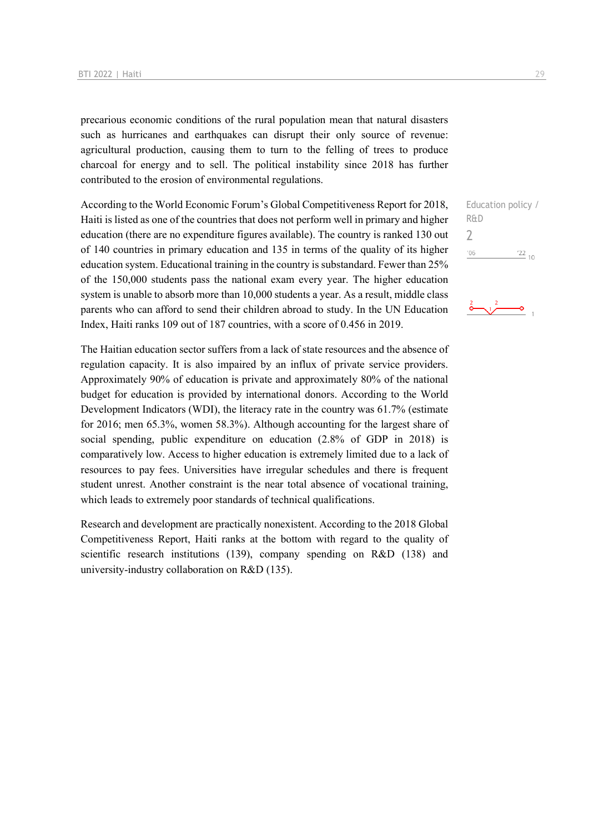precarious economic conditions of the rural population mean that natural disasters such as hurricanes and earthquakes can disrupt their only source of revenue: agricultural production, causing them to turn to the felling of trees to produce charcoal for energy and to sell. The political instability since 2018 has further contributed to the erosion of environmental regulations.

According to the World Economic Forum's Global Competitiveness Report for 2018, Haiti is listed as one of the countries that does not perform well in primary and higher education (there are no expenditure figures available). The country is ranked 130 out of 140 countries in primary education and 135 in terms of the quality of its higher education system. Educational training in the country is substandard. Fewer than 25% of the 150,000 students pass the national exam every year. The higher education system is unable to absorb more than 10,000 students a year. As a result, middle class parents who can afford to send their children abroad to study. In the UN Education Index, Haiti ranks 109 out of 187 countries, with a score of 0.456 in 2019.

The Haitian education sector suffers from a lack of state resources and the absence of regulation capacity. It is also impaired by an influx of private service providers. Approximately 90% of education is private and approximately 80% of the national budget for education is provided by international donors. According to the World Development Indicators (WDI), the literacy rate in the country was 61.7% (estimate for 2016; men 65.3%, women 58.3%). Although accounting for the largest share of social spending, public expenditure on education (2.8% of GDP in 2018) is comparatively low. Access to higher education is extremely limited due to a lack of resources to pay fees. Universities have irregular schedules and there is frequent student unrest. Another constraint is the near total absence of vocational training, which leads to extremely poor standards of technical qualifications.

Research and development are practically nonexistent. According to the 2018 Global Competitiveness Report, Haiti ranks at the bottom with regard to the quality of scientific research institutions (139), company spending on R&D (138) and university-industry collaboration on R&D (135).

Education policy / R&D 2 $'06$  $\frac{22}{10}$ 

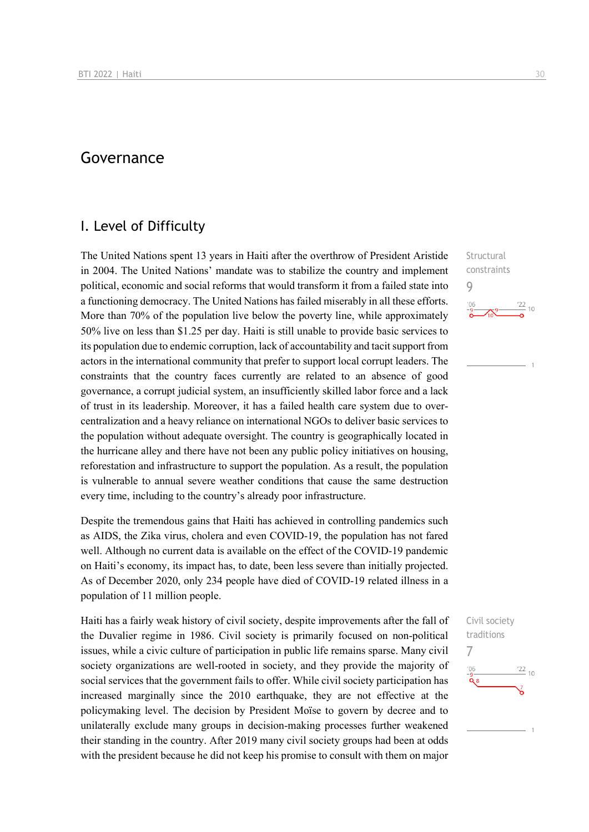## Governance

## I. Level of Difficulty

The United Nations spent 13 years in Haiti after the overthrow of President Aristide in 2004. The United Nations' mandate was to stabilize the country and implement political, economic and social reforms that would transform it from a failed state into a functioning democracy. The United Nations has failed miserably in all these efforts. More than 70% of the population live below the poverty line, while approximately 50% live on less than \$1.25 per day. Haiti is still unable to provide basic services to its population due to endemic corruption, lack of accountability and tacit support from actors in the international community that prefer to support local corrupt leaders. The constraints that the country faces currently are related to an absence of good governance, a corrupt judicial system, an insufficiently skilled labor force and a lack of trust in its leadership. Moreover, it has a failed health care system due to overcentralization and a heavy reliance on international NGOs to deliver basic services to the population without adequate oversight. The country is geographically located in the hurricane alley and there have not been any public policy initiatives on housing, reforestation and infrastructure to support the population. As a result, the population is vulnerable to annual severe weather conditions that cause the same destruction every time, including to the country's already poor infrastructure.

Despite the tremendous gains that Haiti has achieved in controlling pandemics such as AIDS, the Zika virus, cholera and even COVID-19, the population has not fared well. Although no current data is available on the effect of the COVID-19 pandemic on Haiti's economy, its impact has, to date, been less severe than initially projected. As of December 2020, only 234 people have died of COVID-19 related illness in a population of 11 million people.

Haiti has a fairly weak history of civil society, despite improvements after the fall of the Duvalier regime in 1986. Civil society is primarily focused on non-political issues, while a civic culture of participation in public life remains sparse. Many civil society organizations are well-rooted in society, and they provide the majority of social services that the government fails to offer. While civil society participation has increased marginally since the 2010 earthquake, they are not effective at the policymaking level. The decision by President Moïse to govern by decree and to unilaterally exclude many groups in decision-making processes further weakened their standing in the country. After 2019 many civil society groups had been at odds with the president because he did not keep his promise to consult with them on major

**Structural** constraints 9  $\frac{22}{10}$  $^{106}_{-0}$ 

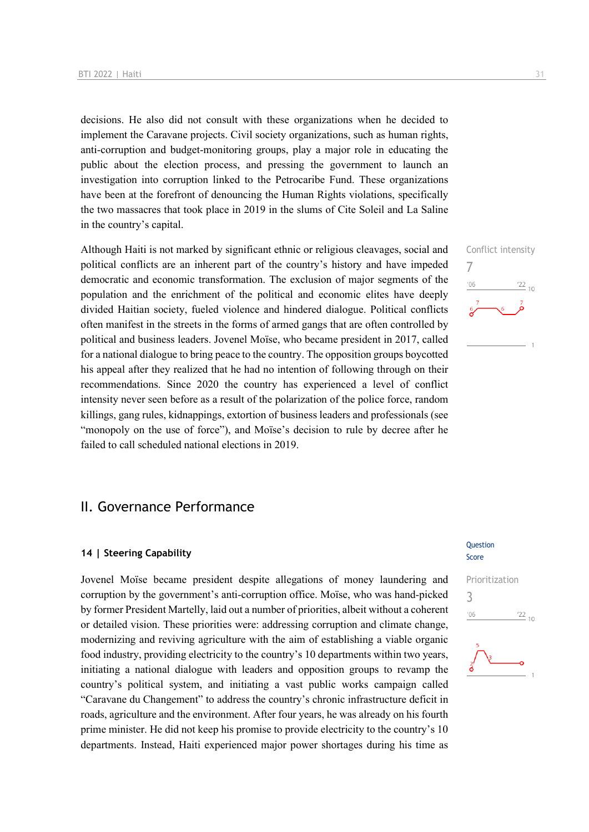decisions. He also did not consult with these organizations when he decided to implement the Caravane projects. Civil society organizations, such as human rights, anti-corruption and budget-monitoring groups, play a major role in educating the public about the election process, and pressing the government to launch an investigation into corruption linked to the Petrocaribe Fund. These organizations have been at the forefront of denouncing the Human Rights violations, specifically the two massacres that took place in 2019 in the slums of Cite Soleil and La Saline in the country's capital.

Although Haiti is not marked by significant ethnic or religious cleavages, social and political conflicts are an inherent part of the country's history and have impeded democratic and economic transformation. The exclusion of major segments of the population and the enrichment of the political and economic elites have deeply divided Haitian society, fueled violence and hindered dialogue. Political conflicts often manifest in the streets in the forms of armed gangs that are often controlled by political and business leaders. Jovenel Moïse, who became president in 2017, called for a national dialogue to bring peace to the country. The opposition groups boycotted his appeal after they realized that he had no intention of following through on their recommendations. Since 2020 the country has experienced a level of conflict intensity never seen before as a result of the polarization of the police force, random killings, gang rules, kidnappings, extortion of business leaders and professionals (see "monopoly on the use of force"), and Moïse's decision to rule by decree after he failed to call scheduled national elections in 2019.

## II. Governance Performance

#### **14 | Steering Capability**

Jovenel Moïse became president despite allegations of money laundering and corruption by the government's anti-corruption office. Moïse, who was hand-picked by former President Martelly, laid out a number of priorities, albeit without a coherent or detailed vision. These priorities were: addressing corruption and climate change, modernizing and reviving agriculture with the aim of establishing a viable organic food industry, providing electricity to the country's 10 departments within two years, initiating a national dialogue with leaders and opposition groups to revamp the country's political system, and initiating a vast public works campaign called "Caravane du Changement" to address the country's chronic infrastructure deficit in roads, agriculture and the environment. After four years, he was already on his fourth prime minister. He did not keep his promise to provide electricity to the country's 10 departments. Instead, Haiti experienced major power shortages during his time as

#### **Question** Score



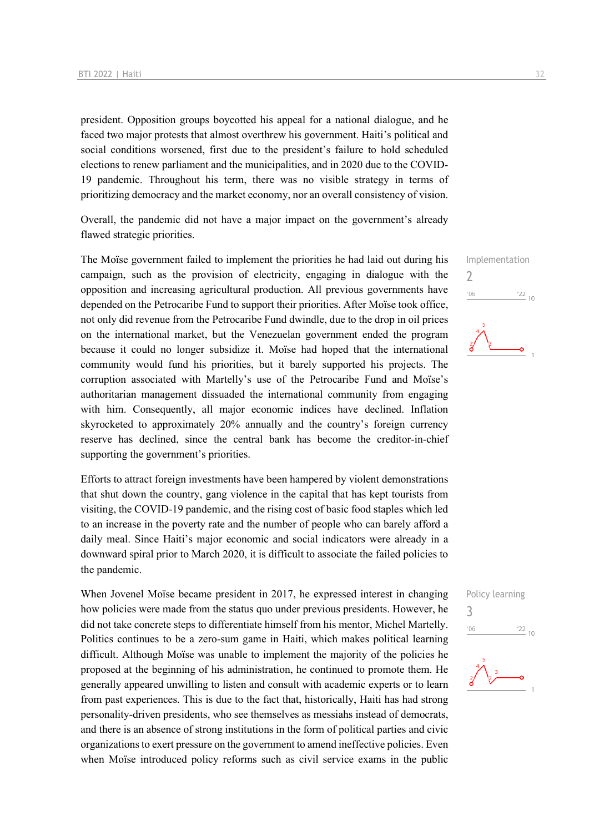president. Opposition groups boycotted his appeal for a national dialogue, and he faced two major protests that almost overthrew his government. Haiti's political and social conditions worsened, first due to the president's failure to hold scheduled elections to renew parliament and the municipalities, and in 2020 due to the COVID-19 pandemic. Throughout his term, there was no visible strategy in terms of prioritizing democracy and the market economy, nor an overall consistency of vision.

Overall, the pandemic did not have a major impact on the government's already flawed strategic priorities.

The Moïse government failed to implement the priorities he had laid out during his campaign, such as the provision of electricity, engaging in dialogue with the opposition and increasing agricultural production. All previous governments have depended on the Petrocaribe Fund to support their priorities. After Moïse took office, not only did revenue from the Petrocaribe Fund dwindle, due to the drop in oil prices on the international market, but the Venezuelan government ended the program because it could no longer subsidize it. Moïse had hoped that the international community would fund his priorities, but it barely supported his projects. The corruption associated with Martelly's use of the Petrocaribe Fund and Moïse's authoritarian management dissuaded the international community from engaging with him. Consequently, all major economic indices have declined. Inflation skyrocketed to approximately 20% annually and the country's foreign currency reserve has declined, since the central bank has become the creditor-in-chief supporting the government's priorities.

Efforts to attract foreign investments have been hampered by violent demonstrations that shut down the country, gang violence in the capital that has kept tourists from visiting, the COVID-19 pandemic, and the rising cost of basic food staples which led to an increase in the poverty rate and the number of people who can barely afford a daily meal. Since Haiti's major economic and social indicators were already in a downward spiral prior to March 2020, it is difficult to associate the failed policies to the pandemic.

When Jovenel Moïse became president in 2017, he expressed interest in changing how policies were made from the status quo under previous presidents. However, he did not take concrete steps to differentiate himself from his mentor, Michel Martelly. Politics continues to be a zero-sum game in Haiti, which makes political learning difficult. Although Moïse was unable to implement the majority of the policies he proposed at the beginning of his administration, he continued to promote them. He generally appeared unwilling to listen and consult with academic experts or to learn from past experiences. This is due to the fact that, historically, Haiti has had strong personality-driven presidents, who see themselves as messiahs instead of democrats, and there is an absence of strong institutions in the form of political parties and civic organizations to exert pressure on the government to amend ineffective policies. Even when Moïse introduced policy reforms such as civil service exams in the public



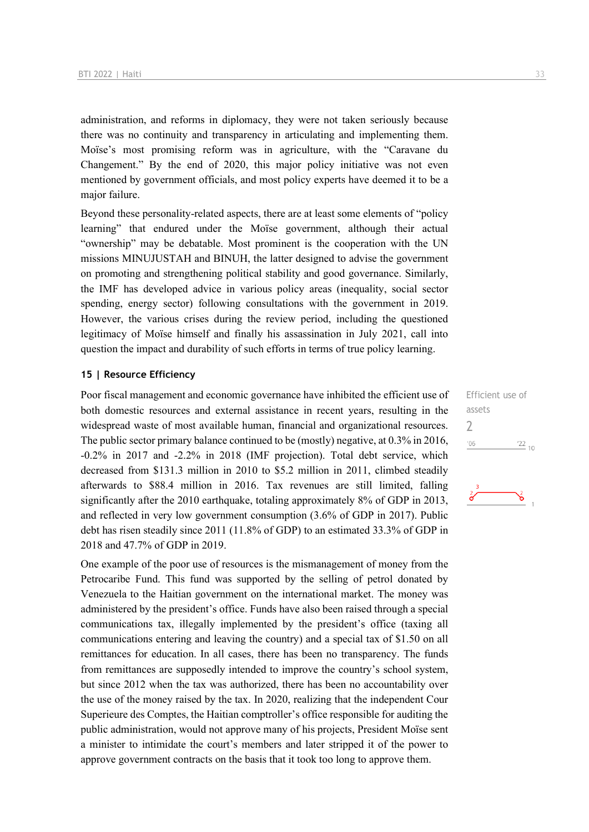administration, and reforms in diplomacy, they were not taken seriously because there was no continuity and transparency in articulating and implementing them. Moïse's most promising reform was in agriculture, with the "Caravane du Changement." By the end of 2020, this major policy initiative was not even mentioned by government officials, and most policy experts have deemed it to be a major failure.

Beyond these personality-related aspects, there are at least some elements of "policy learning" that endured under the Moïse government, although their actual "ownership" may be debatable. Most prominent is the cooperation with the UN missions MINUJUSTAH and BINUH, the latter designed to advise the government on promoting and strengthening political stability and good governance. Similarly, the IMF has developed advice in various policy areas (inequality, social sector spending, energy sector) following consultations with the government in 2019. However, the various crises during the review period, including the questioned legitimacy of Moïse himself and finally his assassination in July 2021, call into question the impact and durability of such efforts in terms of true policy learning.

#### **15 | Resource Efficiency**

Poor fiscal management and economic governance have inhibited the efficient use of both domestic resources and external assistance in recent years, resulting in the widespread waste of most available human, financial and organizational resources. The public sector primary balance continued to be (mostly) negative, at 0.3% in 2016, -0.2% in 2017 and -2.2% in 2018 (IMF projection). Total debt service, which decreased from \$131.3 million in 2010 to \$5.2 million in 2011, climbed steadily afterwards to \$88.4 million in 2016. Tax revenues are still limited, falling significantly after the 2010 earthquake, totaling approximately 8% of GDP in 2013, and reflected in very low government consumption (3.6% of GDP in 2017). Public debt has risen steadily since 2011 (11.8% of GDP) to an estimated 33.3% of GDP in 2018 and 47.7% of GDP in 2019.

One example of the poor use of resources is the mismanagement of money from the Petrocaribe Fund. This fund was supported by the selling of petrol donated by Venezuela to the Haitian government on the international market. The money was administered by the president's office. Funds have also been raised through a special communications tax, illegally implemented by the president's office (taxing all communications entering and leaving the country) and a special tax of \$1.50 on all remittances for education. In all cases, there has been no transparency. The funds from remittances are supposedly intended to improve the country's school system, but since 2012 when the tax was authorized, there has been no accountability over the use of the money raised by the tax. In 2020, realizing that the independent Cour Superieure des Comptes, the Haitian comptroller's office responsible for auditing the public administration, would not approve many of his projects, President Moïse sent a minister to intimidate the court's members and later stripped it of the power to approve government contracts on the basis that it took too long to approve them.

Efficient use of assets 2 $06'$  $\frac{22}{10}$ 

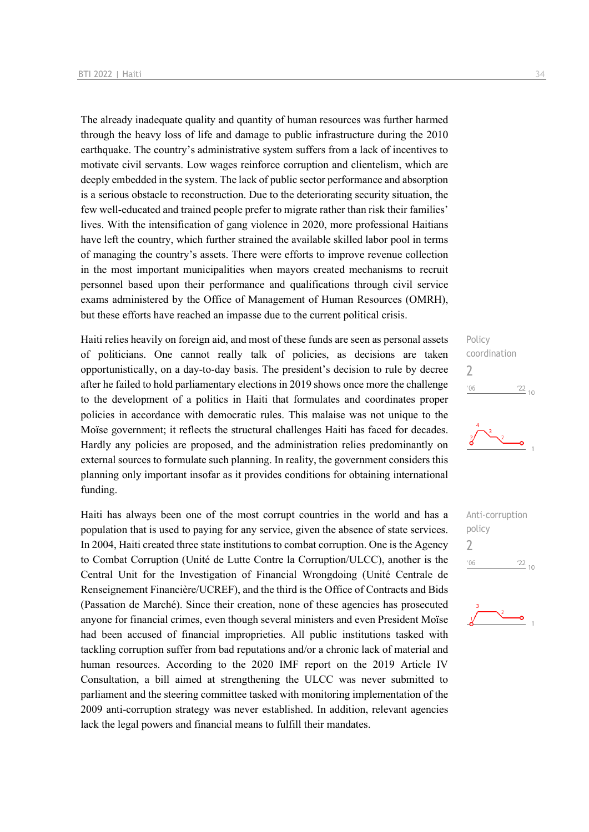The already inadequate quality and quantity of human resources was further harmed through the heavy loss of life and damage to public infrastructure during the 2010 earthquake. The country's administrative system suffers from a lack of incentives to motivate civil servants. Low wages reinforce corruption and clientelism, which are deeply embedded in the system. The lack of public sector performance and absorption is a serious obstacle to reconstruction. Due to the deteriorating security situation, the few well-educated and trained people prefer to migrate rather than risk their families' lives. With the intensification of gang violence in 2020, more professional Haitians have left the country, which further strained the available skilled labor pool in terms of managing the country's assets. There were efforts to improve revenue collection in the most important municipalities when mayors created mechanisms to recruit personnel based upon their performance and qualifications through civil service exams administered by the Office of Management of Human Resources (OMRH), but these efforts have reached an impasse due to the current political crisis.

Haiti relies heavily on foreign aid, and most of these funds are seen as personal assets of politicians. One cannot really talk of policies, as decisions are taken opportunistically, on a day-to-day basis. The president's decision to rule by decree after he failed to hold parliamentary elections in 2019 shows once more the challenge to the development of a politics in Haiti that formulates and coordinates proper policies in accordance with democratic rules. This malaise was not unique to the Moïse government; it reflects the structural challenges Haiti has faced for decades. Hardly any policies are proposed, and the administration relies predominantly on external sources to formulate such planning. In reality, the government considers this planning only important insofar as it provides conditions for obtaining international funding.

Haiti has always been one of the most corrupt countries in the world and has a population that is used to paying for any service, given the absence of state services. In 2004, Haiti created three state institutions to combat corruption. One is the Agency to Combat Corruption (Unité de Lutte Contre la Corruption/ULCC), another is the Central Unit for the Investigation of Financial Wrongdoing (Unité Centrale de Renseignement Financière/UCREF), and the third is the Office of Contracts and Bids (Passation de Marché). Since their creation, none of these agencies has prosecuted anyone for financial crimes, even though several ministers and even President Moïse had been accused of financial improprieties. All public institutions tasked with tackling corruption suffer from bad reputations and/or a chronic lack of material and human resources. According to the 2020 IMF report on the 2019 Article IV Consultation, a bill aimed at strengthening the ULCC was never submitted to parliament and the steering committee tasked with monitoring implementation of the 2009 anti-corruption strategy was never established. In addition, relevant agencies lack the legal powers and financial means to fulfill their mandates.

Policy coordination 2  $06'$  $\frac{22}{10}$ 





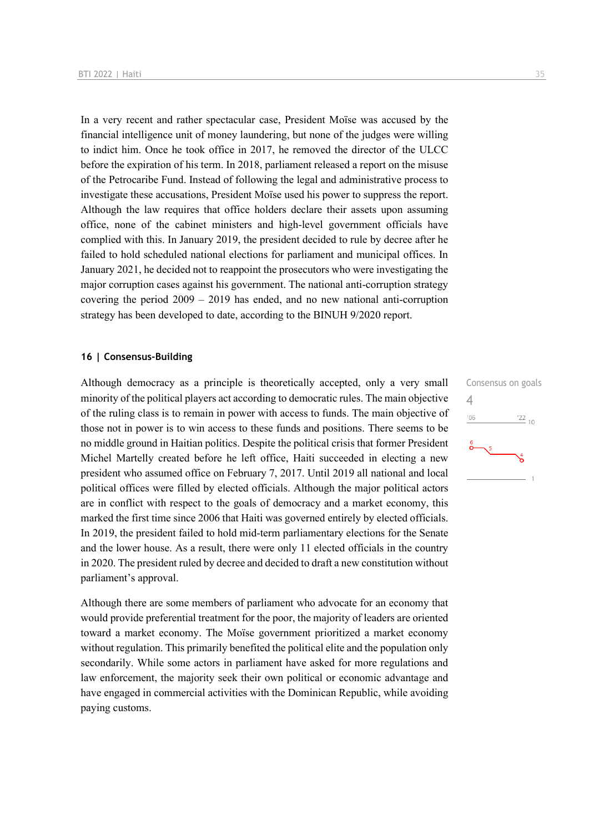In a very recent and rather spectacular case, President Moïse was accused by the financial intelligence unit of money laundering, but none of the judges were willing to indict him. Once he took office in 2017, he removed the director of the ULCC before the expiration of his term. In 2018, parliament released a report on the misuse of the Petrocaribe Fund. Instead of following the legal and administrative process to investigate these accusations, President Moïse used his power to suppress the report. Although the law requires that office holders declare their assets upon assuming office, none of the cabinet ministers and high-level government officials have complied with this. In January 2019, the president decided to rule by decree after he failed to hold scheduled national elections for parliament and municipal offices. In January 2021, he decided not to reappoint the prosecutors who were investigating the major corruption cases against his government. The national anti-corruption strategy covering the period  $2009 - 2019$  has ended, and no new national anti-corruption strategy has been developed to date, according to the BINUH 9/2020 report.

#### **16 | Consensus-Building**

Although democracy as a principle is theoretically accepted, only a very small minority of the political players act according to democratic rules. The main objective of the ruling class is to remain in power with access to funds. The main objective of those not in power is to win access to these funds and positions. There seems to be no middle ground in Haitian politics. Despite the political crisis that former President Michel Martelly created before he left office, Haiti succeeded in electing a new president who assumed office on February 7, 2017. Until 2019 all national and local political offices were filled by elected officials. Although the major political actors are in conflict with respect to the goals of democracy and a market economy, this marked the first time since 2006 that Haiti was governed entirely by elected officials. In 2019, the president failed to hold mid-term parliamentary elections for the Senate and the lower house. As a result, there were only 11 elected officials in the country in 2020. The president ruled by decree and decided to draft a new constitution without parliament's approval.

Although there are some members of parliament who advocate for an economy that would provide preferential treatment for the poor, the majority of leaders are oriented toward a market economy. The Moïse government prioritized a market economy without regulation. This primarily benefited the political elite and the population only secondarily. While some actors in parliament have asked for more regulations and law enforcement, the majority seek their own political or economic advantage and have engaged in commercial activities with the Dominican Republic, while avoiding paying customs.

Consensus on goals 4 $06'$  $\frac{22}{10}$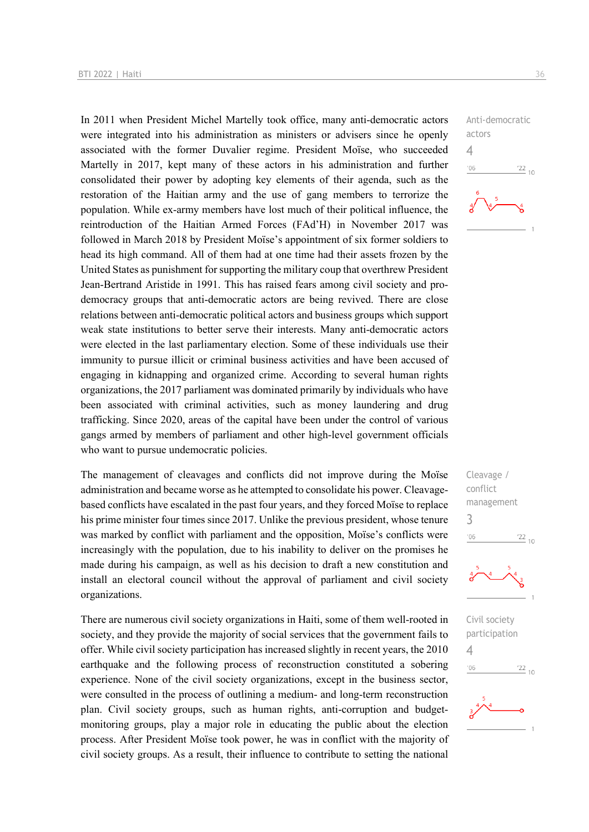In 2011 when President Michel Martelly took office, many anti-democratic actors were integrated into his administration as ministers or advisers since he openly associated with the former Duvalier regime. President Moïse, who succeeded Martelly in 2017, kept many of these actors in his administration and further consolidated their power by adopting key elements of their agenda, such as the restoration of the Haitian army and the use of gang members to terrorize the population. While ex-army members have lost much of their political influence, the reintroduction of the Haitian Armed Forces (FAd'H) in November 2017 was followed in March 2018 by President Moïse's appointment of six former soldiers to head its high command. All of them had at one time had their assets frozen by the United States as punishment for supporting the military coup that overthrew President Jean-Bertrand Aristide in 1991. This has raised fears among civil society and prodemocracy groups that anti-democratic actors are being revived. There are close relations between anti-democratic political actors and business groups which support weak state institutions to better serve their interests. Many anti-democratic actors were elected in the last parliamentary election. Some of these individuals use their immunity to pursue illicit or criminal business activities and have been accused of engaging in kidnapping and organized crime. According to several human rights organizations, the 2017 parliament was dominated primarily by individuals who have been associated with criminal activities, such as money laundering and drug trafficking. Since 2020, areas of the capital have been under the control of various gangs armed by members of parliament and other high-level government officials who want to pursue undemocratic policies.

The management of cleavages and conflicts did not improve during the Moïse administration and became worse as he attempted to consolidate his power. Cleavagebased conflicts have escalated in the past four years, and they forced Moïse to replace his prime minister four times since 2017. Unlike the previous president, whose tenure was marked by conflict with parliament and the opposition, Moïse's conflicts were increasingly with the population, due to his inability to deliver on the promises he made during his campaign, as well as his decision to draft a new constitution and install an electoral council without the approval of parliament and civil society organizations.

There are numerous civil society organizations in Haiti, some of them well-rooted in society, and they provide the majority of social services that the government fails to offer. While civil society participation has increased slightly in recent years, the 2010 earthquake and the following process of reconstruction constituted a sobering experience. None of the civil society organizations, except in the business sector, were consulted in the process of outlining a medium- and long-term reconstruction plan. Civil society groups, such as human rights, anti-corruption and budgetmonitoring groups, play a major role in educating the public about the election process. After President Moïse took power, he was in conflict with the majority of civil society groups. As a result, their influence to contribute to setting the national







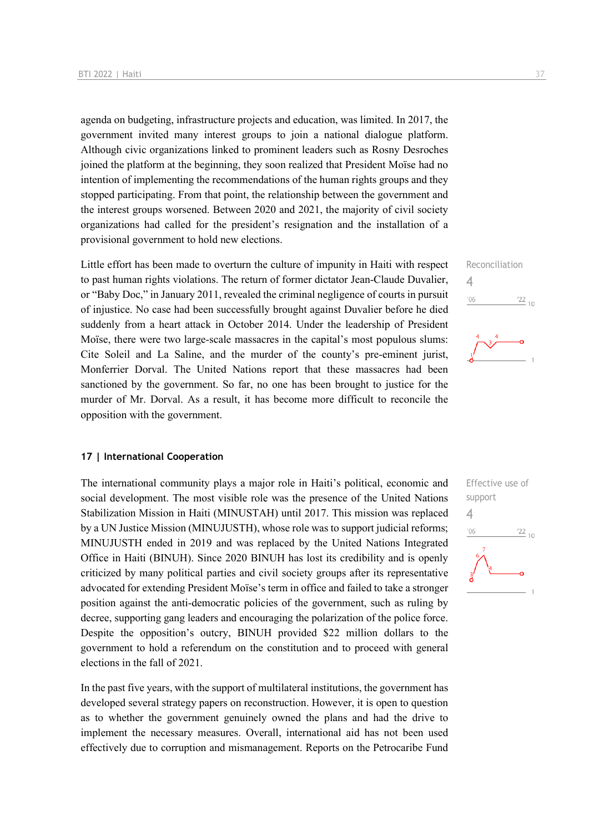agenda on budgeting, infrastructure projects and education, was limited. In 2017, the government invited many interest groups to join a national dialogue platform. Although civic organizations linked to prominent leaders such as Rosny Desroches joined the platform at the beginning, they soon realized that President Moïse had no intention of implementing the recommendations of the human rights groups and they stopped participating. From that point, the relationship between the government and the interest groups worsened. Between 2020 and 2021, the majority of civil society organizations had called for the president's resignation and the installation of a provisional government to hold new elections.

Little effort has been made to overturn the culture of impunity in Haiti with respect to past human rights violations. The return of former dictator Jean-Claude Duvalier, or "Baby Doc," in January 2011, revealed the criminal negligence of courts in pursuit of injustice. No case had been successfully brought against Duvalier before he died suddenly from a heart attack in October 2014. Under the leadership of President Moïse, there were two large-scale massacres in the capital's most populous slums: Cite Soleil and La Saline, and the murder of the county's pre-eminent jurist, Monferrier Dorval. The United Nations report that these massacres had been sanctioned by the government. So far, no one has been brought to justice for the murder of Mr. Dorval. As a result, it has become more difficult to reconcile the opposition with the government.

#### **17 | International Cooperation**

The international community plays a major role in Haiti's political, economic and social development. The most visible role was the presence of the United Nations Stabilization Mission in Haiti (MINUSTAH) until 2017. This mission was replaced by a UN Justice Mission (MINUJUSTH), whose role was to support judicial reforms; MINUJUSTH ended in 2019 and was replaced by the United Nations Integrated Office in Haiti (BINUH). Since 2020 BINUH has lost its credibility and is openly criticized by many political parties and civil society groups after its representative advocated for extending President Moïse's term in office and failed to take a stronger position against the anti-democratic policies of the government, such as ruling by decree, supporting gang leaders and encouraging the polarization of the police force. Despite the opposition's outcry, BINUH provided \$22 million dollars to the government to hold a referendum on the constitution and to proceed with general elections in the fall of 2021.

In the past five years, with the support of multilateral institutions, the government has developed several strategy papers on reconstruction. However, it is open to question as to whether the government genuinely owned the plans and had the drive to implement the necessary measures. Overall, international aid has not been used effectively due to corruption and mismanagement. Reports on the Petrocaribe Fund





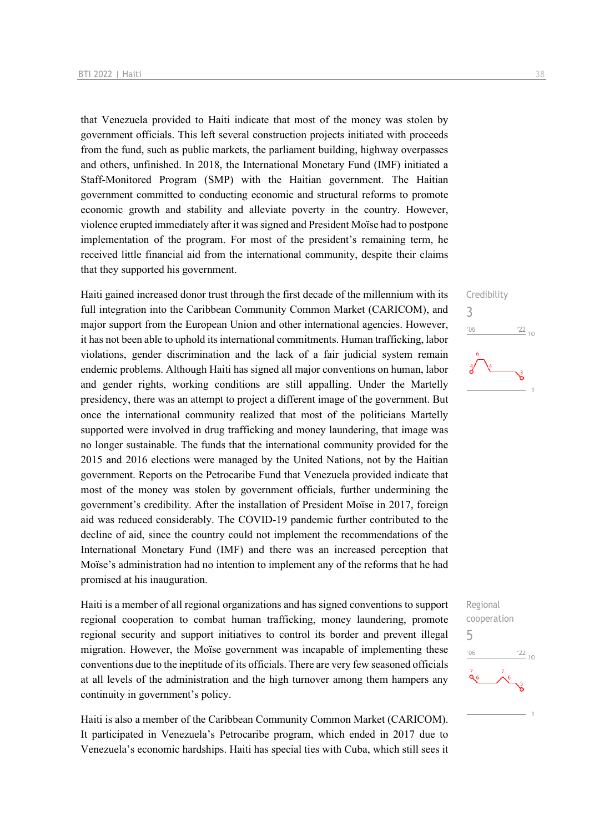that Venezuela provided to Haiti indicate that most of the money was stolen by government officials. This left several construction projects initiated with proceeds from the fund, such as public markets, the parliament building, highway overpasses and others, unfinished. In 2018, the International Monetary Fund (IMF) initiated a Staff-Monitored Program (SMP) with the Haitian government. The Haitian government committed to conducting economic and structural reforms to promote economic growth and stability and alleviate poverty in the country. However, violence erupted immediately after it was signed and President Moïse had to postpone implementation of the program. For most of the president's remaining term, he received little financial aid from the international community, despite their claims that they supported his government.

Haiti gained increased donor trust through the first decade of the millennium with its full integration into the Caribbean Community Common Market (CARICOM), and major support from the European Union and other international agencies. However, it has not been able to uphold its international commitments. Human trafficking, labor violations, gender discrimination and the lack of a fair judicial system remain endemic problems. Although Haiti has signed all major conventions on human, labor and gender rights, working conditions are still appalling. Under the Martelly presidency, there was an attempt to project a different image of the government. But once the international community realized that most of the politicians Martelly supported were involved in drug trafficking and money laundering, that image was no longer sustainable. The funds that the international community provided for the 2015 and 2016 elections were managed by the United Nations, not by the Haitian government. Reports on the Petrocaribe Fund that Venezuela provided indicate that most of the money was stolen by government officials, further undermining the government's credibility. After the installation of President Moïse in 2017, foreign aid was reduced considerably. The COVID-19 pandemic further contributed to the decline of aid, since the country could not implement the recommendations of the International Monetary Fund (IMF) and there was an increased perception that Moïse's administration had no intention to implement any of the reforms that he had promised at his inauguration.

Haiti is a member of all regional organizations and has signed conventions to support regional cooperation to combat human trafficking, money laundering, promote regional security and support initiatives to control its border and prevent illegal migration. However, the Moïse government was incapable of implementing these conventions due to the ineptitude of its officials. There are very few seasoned officials at all levels of the administration and the high turnover among them hampers any continuity in government's policy.

Haiti is also a member of the Caribbean Community Common Market (CARICOM). It participated in Venezuela's Petrocaribe program, which ended in 2017 due to Venezuela's economic hardships. Haiti has special ties with Cuba, which still sees it



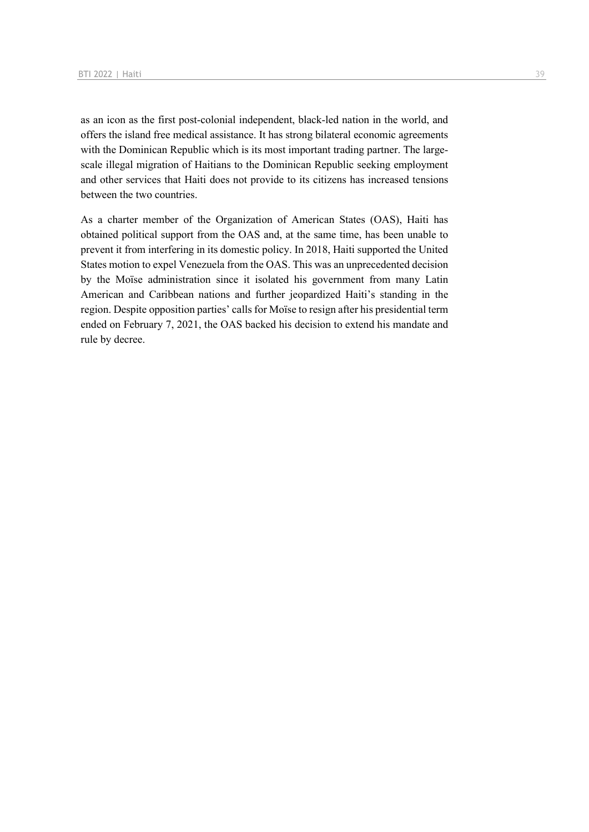as an icon as the first post-colonial independent, black-led nation in the world, and offers the island free medical assistance. It has strong bilateral economic agreements with the Dominican Republic which is its most important trading partner. The largescale illegal migration of Haitians to the Dominican Republic seeking employment and other services that Haiti does not provide to its citizens has increased tensions between the two countries.

As a charter member of the Organization of American States (OAS), Haiti has obtained political support from the OAS and, at the same time, has been unable to prevent it from interfering in its domestic policy. In 2018, Haiti supported the United States motion to expel Venezuela from the OAS. This was an unprecedented decision by the Moïse administration since it isolated his government from many Latin American and Caribbean nations and further jeopardized Haiti's standing in the region. Despite opposition parties' calls for Moïse to resign after his presidential term ended on February 7, 2021, the OAS backed his decision to extend his mandate and rule by decree.